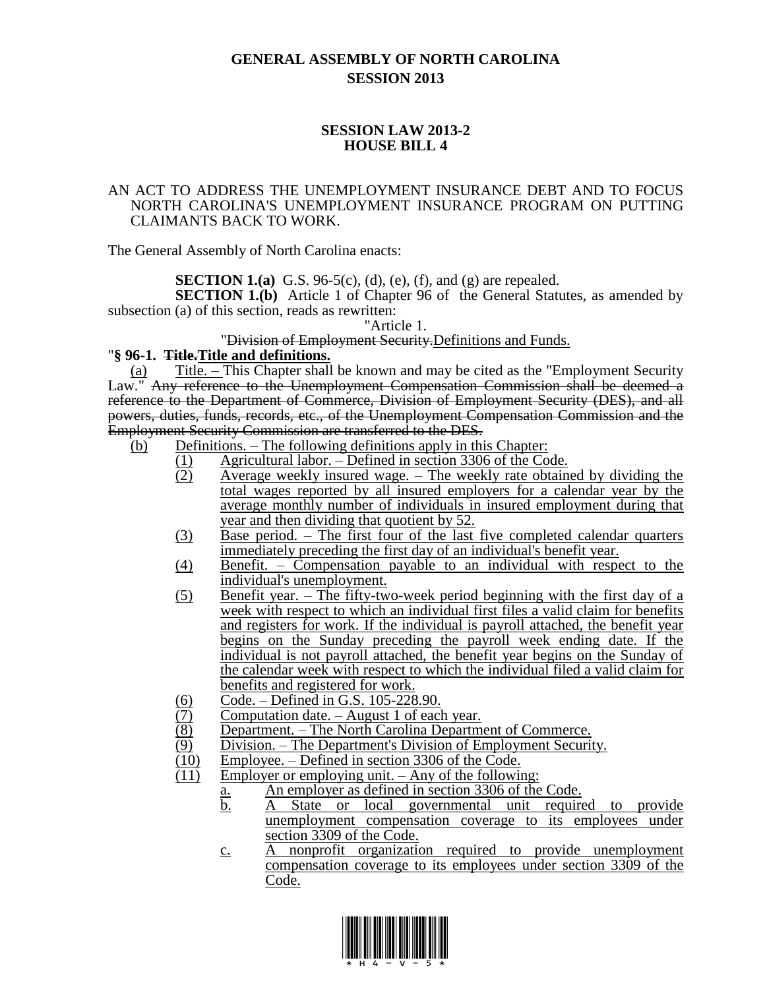# **GENERAL ASSEMBLY OF NORTH CAROLINA SESSION 2013**

## **SESSION LAW 2013-2 HOUSE BILL 4**

#### AN ACT TO ADDRESS THE UNEMPLOYMENT INSURANCE DEBT AND TO FOCUS NORTH CAROLINA'S UNEMPLOYMENT INSURANCE PROGRAM ON PUTTING CLAIMANTS BACK TO WORK.

The General Assembly of North Carolina enacts:

**SECTION 1.(a)** G.S. 96-5(c), (d), (e), (f), and (g) are repealed.

**SECTION 1.(b)** Article 1 of Chapter 96 of the General Statutes, as amended by subsection (a) of this section, reads as rewritten:

"Article 1.

#### "Division of Employment Security.Definitions and Funds.

#### "**§ 96-1. Title.Title and definitions.**

(a) Title. – This Chapter shall be known and may be cited as the "Employment Security Law." Any reference to the Unemployment Compensation Commission shall be deemed a reference to the Department of Commerce, Division of Employment Security (DES), and all powers, duties, funds, records, etc., of the Unemployment Compensation Commission and the Employment Security Commission are transferred to the DES.

- (b) Definitions. The following definitions apply in this Chapter:
	- (1) Agricultural labor. Defined in section 3306 of the Code.
	- (2) Average weekly insured wage. The weekly rate obtained by dividing the total wages reported by all insured employers for a calendar year by the average monthly number of individuals in insured employment during that year and then dividing that quotient by 52.
	- (3) Base period. The first four of the last five completed calendar quarters immediately preceding the first day of an individual's benefit year.
	- (4) Benefit. Compensation payable to an individual with respect to the individual's unemployment.
	- (5) Benefit year. The fifty-two-week period beginning with the first day of a week with respect to which an individual first files a valid claim for benefits and registers for work. If the individual is payroll attached, the benefit year begins on the Sunday preceding the payroll week ending date. If the individual is not payroll attached, the benefit year begins on the Sunday of the calendar week with respect to which the individual filed a valid claim for benefits and registered for work.
	- $\frac{(6)}{(7)}$  Code. Defined in G.S. 105-228.90.<br>Computation date. August 1 of each
	-
	- (7) Computation date. August 1 of each year.<br>
	(8) Department. The North Carolina Departm<br>
	(9) Division. The Department's Division of E Department. – The North Carolina Department of Commerce.
	- (9) Division. The Department's Division of Employment Security.<br>(10) Employee. Defined in section 3306 of the Code.
	- (10) Employee. Defined in section 3306 of the Code.<br>(11) Employer or employing unit. Any of the following
	- Employer or employing unit.  $-$  Any of the following:
		- a. An employer as defined in section 3306 of the Code.
		- b. A State or local governmental unit required to provide unemployment compensation coverage to its employees under section 3309 of the Code.
		- c. A nonprofit organization required to provide unemployment compensation coverage to its employees under section 3309 of the Code.

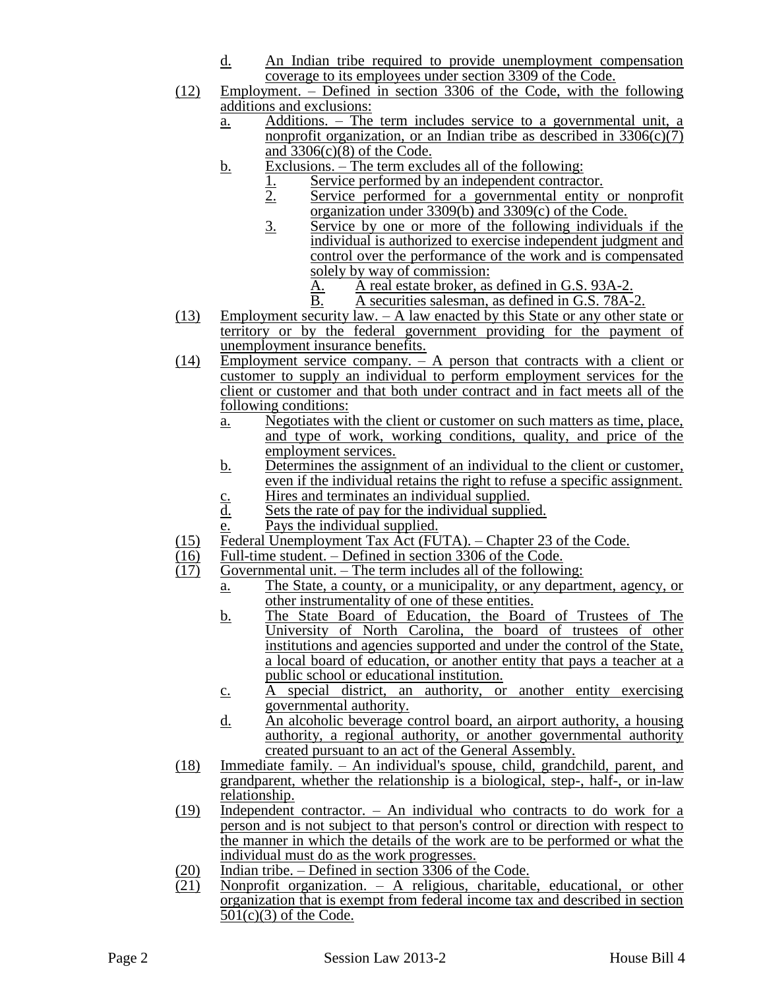- d. An Indian tribe required to provide unemployment compensation coverage to its employees under section 3309 of the Code.
- (12) Employment. Defined in section 3306 of the Code, with the following additions and exclusions:
	- a. Additions. The term includes service to a governmental unit, a nonprofit organization, or an Indian tribe as described in  $3306(c)(7)$ and  $3306(c)(8)$  of the Code.
	- b. Exclusions. The term excludes all of the following:
		- 1. Service performed by an independent contractor.<br>2. Service performed for a governmental entity
		- Service performed for a governmental entity or nonprofit organization under 3309(b) and 3309(c) of the Code.
		- 3. Service by one or more of the following individuals if the individual is authorized to exercise independent judgment and control over the performance of the work and is compensated solely by way of commission:
			- A. A real estate broker, as defined in G.S. 93A-2.
			- B. A securities salesman, as defined in G.S. 78A-2.
- (13) Employment security law. A law enacted by this State or any other state or territory or by the federal government providing for the payment of unemployment insurance benefits.
- (14) Employment service company. A person that contracts with a client or customer to supply an individual to perform employment services for the client or customer and that both under contract and in fact meets all of the following conditions:
	- a. Negotiates with the client or customer on such matters as time, place, and type of work, working conditions, quality, and price of the employment services.
	- b. Determines the assignment of an individual to the client or customer, even if the individual retains the right to refuse a specific assignment.
	- $\frac{c}{d}$  Hires and terminates an individual supplied.<br>Here is the rate of pay for the individual supplied.
	- Sets the rate of pay for the individual supplied.
	- e. Pays the individual supplied.
- (15) Federal Unemployment Tax  $\text{Act}$  (FUTA). Chapter 23 of the Code.<br>(16) Full-time student. Defined in section 3306 of the Code.
- $\frac{(16)}{(17)}$  Full-time student. Defined in section 3306 of the Code.<br>(17) Governmental unit. The term includes all of the followi
	- Governmental unit. The term includes all of the following:
		- a. The State, a county, or a municipality, or any department, agency, or other instrumentality of one of these entities.
			- b. The State Board of Education, the Board of Trustees of The University of North Carolina, the board of trustees of other institutions and agencies supported and under the control of the State, a local board of education, or another entity that pays a teacher at a public school or educational institution.
			- c. A special district, an authority, or another entity exercising governmental authority.
			- d. An alcoholic beverage control board, an airport authority, a housing authority, a regional authority, or another governmental authority created pursuant to an act of the General Assembly.
- (18) Immediate family. An individual's spouse, child, grandchild, parent, and grandparent, whether the relationship is a biological, step-, half-, or in-law relationship.
- $(19)$  Independent contractor. An individual who contracts to do work for a person and is not subject to that person's control or direction with respect to the manner in which the details of the work are to be performed or what the individual must do as the work progresses.
- (20) Indian tribe. Defined in section 3306 of the Code.<br>
(21) Nonprofit organization. A religious, charitable
- Nonprofit organization.  $-$  A religious, charitable, educational, or other organization that is exempt from federal income tax and described in section  $501(c)(3)$  of the Code.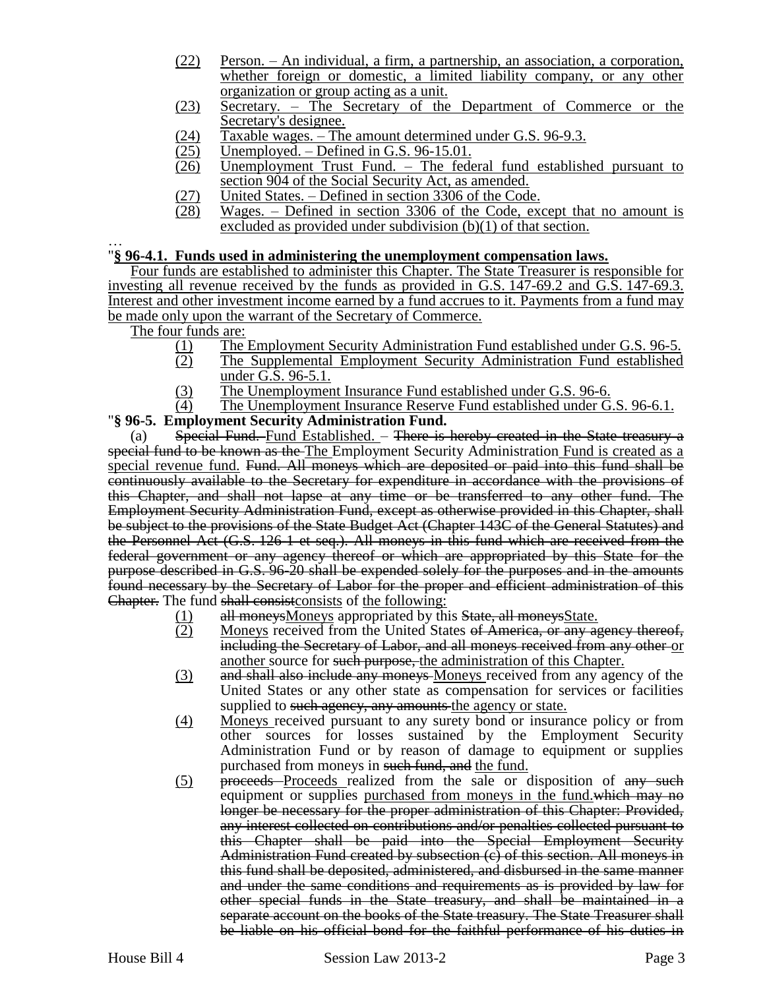- (22) Person. An individual, a firm, a partnership, an association, a corporation, whether foreign or domestic, a limited liability company, or any other organization or group acting as a unit.
- (23) Secretary. The Secretary of the Department of Commerce or the Secretary's designee.
- (24) Taxable wages. The amount determined under G.S. 96-9.3.<br>(25) Unemployed. Defined in G.S. 96-15.01.
- $\overline{25)}$  Unemployed. Defined in G.S. 96-15.01.<br>
(26) Unemployment Trust Fund. The fede
- Unemployment Trust Fund. The federal fund established pursuant to section 904 of the Social Security Act, as amended.
- 
- $\frac{(27)}{(28)}$  United States. Defined in section 3306 of the Code.<br>
Wages. Defined in section 3306 of the Code, example  $Wages. - Defined in section 3306 of the Code, except that no amount is$ excluded as provided under subdivision (b)(1) of that section.

#### … "**§ 96-4.1. Funds used in administering the unemployment compensation laws.**

Four funds are established to administer this Chapter. The State Treasurer is responsible for investing all revenue received by the funds as provided in G.S. 147-69.2 and G.S. 147-69.3. Interest and other investment income earned by a fund accrues to it. Payments from a fund may be made only upon the warrant of the Secretary of Commerce.

The four funds are:

- (1) The Employment Security Administration Fund established under G.S. 96-5.<br>
The Supplemental Employment Security Administration Fund established
- The Supplemental Employment Security Administration Fund established under G.S. 96-5.1.
- (3) The Unemployment Insurance Fund established under G.S. 96-6.
- (4) The Unemployment Insurance Reserve Fund established under G.S. 96-6.1.

## "**§ 96-5. Employment Security Administration Fund.**

(a) Special Fund. Fund Established.  $-$  There is hereby created in the State treasury a special fund to be known as the The Employment Security Administration Fund is created as a special revenue fund. Fund. All moneys which are deposited or paid into this fund shall be continuously available to the Secretary for expenditure in accordance with the provisions of this Chapter, and shall not lapse at any time or be transferred to any other fund. The Employment Security Administration Fund, except as otherwise provided in this Chapter, shall be subject to the provisions of the State Budget Act (Chapter 143C of the General Statutes) and the Personnel Act (G.S. 126-1 et seq.). All moneys in this fund which are received from the federal government or any agency thereof or which are appropriated by this State for the purpose described in G.S. 96-20 shall be expended solely for the purposes and in the amounts found necessary by the Secretary of Labor for the proper and efficient administration of this Chapter. The fund shall consistconsists of the following:

- (1) all moneys Moneys appropriated by this State, all moneys State.
- (2) Moneys received from the United States of America, or any agency thereof, including the Secretary of Labor, and all moneys received from any other or another source for such purpose, the administration of this Chapter.
- (3) and shall also include any moneys-Moneys received from any agency of the United States or any other state as compensation for services or facilities supplied to such agency, any amounts the agency or state.
- (4) Moneys received pursuant to any surety bond or insurance policy or from other sources for losses sustained by the Employment Security Administration Fund or by reason of damage to equipment or supplies purchased from moneys in such fund, and the fund.
- (5) proceeds Proceeds realized from the sale or disposition of any such equipment or supplies purchased from moneys in the fund.which may no longer be necessary for the proper administration of this Chapter: Provided, any interest collected on contributions and/or penalties collected pursuant to this Chapter shall be paid into the Special Employment Security Administration Fund created by subsection (c) of this section. All moneys in this fund shall be deposited, administered, and disbursed in the same manner and under the same conditions and requirements as is provided by law for other special funds in the State treasury, and shall be maintained in a separate account on the books of the State treasury. The State Treasurer shall be liable on his official bond for the faithful performance of his duties in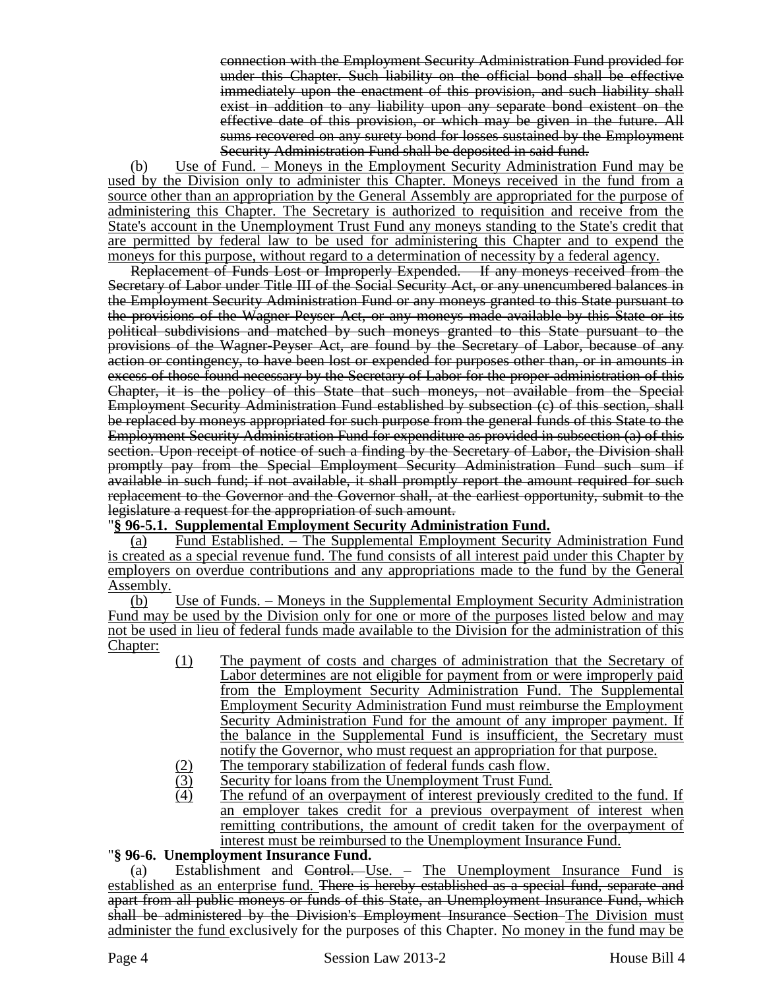connection with the Employment Security Administration Fund provided for under this Chapter. Such liability on the official bond shall be effective immediately upon the enactment of this provision, and such liability shall exist in addition to any liability upon any separate bond existent on the effective date of this provision, or which may be given in the future. All sums recovered on any surety bond for losses sustained by the Employment Security Administration Fund shall be deposited in said fund.

(b) Use of Fund. – Moneys in the Employment Security Administration Fund may be used by the Division only to administer this Chapter. Moneys received in the fund from a source other than an appropriation by the General Assembly are appropriated for the purpose of administering this Chapter. The Secretary is authorized to requisition and receive from the State's account in the Unemployment Trust Fund any moneys standing to the State's credit that are permitted by federal law to be used for administering this Chapter and to expend the moneys for this purpose, without regard to a determination of necessity by a federal agency.

Replacement of Funds Lost or Improperly Expended. – If any moneys received from the Secretary of Labor under Title III of the Social Security Act, or any unencumbered balances in the Employment Security Administration Fund or any moneys granted to this State pursuant to the provisions of the Wagner-Peyser Act, or any moneys made available by this State or its political subdivisions and matched by such moneys granted to this State pursuant to the provisions of the Wagner-Peyser Act, are found by the Secretary of Labor, because of any action or contingency, to have been lost or expended for purposes other than, or in amounts in excess of those found necessary by the Secretary of Labor for the proper administration of this Chapter, it is the policy of this State that such moneys, not available from the Special Employment Security Administration Fund established by subsection (c) of this section, shall be replaced by moneys appropriated for such purpose from the general funds of this State to the Employment Security Administration Fund for expenditure as provided in subsection (a) of this section. Upon receipt of notice of such a finding by the Secretary of Labor, the Division shall promptly pay from the Special Employment Security Administration Fund such sum if available in such fund; if not available, it shall promptly report the amount required for such replacement to the Governor and the Governor shall, at the earliest opportunity, submit to the legislature a request for the appropriation of such amount.

## "**§ 96-5.1. Supplemental Employment Security Administration Fund.**

(a) Fund Established. – The Supplemental Employment Security Administration Fund is created as a special revenue fund. The fund consists of all interest paid under this Chapter by employers on overdue contributions and any appropriations made to the fund by the General Assembly.

(b) Use of Funds. – Moneys in the Supplemental Employment Security Administration Fund may be used by the Division only for one or more of the purposes listed below and may not be used in lieu of federal funds made available to the Division for the administration of this Chapter:

- (1) The payment of costs and charges of administration that the Secretary of Labor determines are not eligible for payment from or were improperly paid from the Employment Security Administration Fund. The Supplemental Employment Security Administration Fund must reimburse the Employment Security Administration Fund for the amount of any improper payment. If the balance in the Supplemental Fund is insufficient, the Secretary must notify the Governor, who must request an appropriation for that purpose.
- (2) The temporary stabilization of federal funds cash flow.
- (3) Security for loans from the Unemployment Trust Fund.
- (4) The refund of an overpayment of interest previously credited to the fund. If an employer takes credit for a previous overpayment of interest when remitting contributions, the amount of credit taken for the overpayment of interest must be reimbursed to the Unemployment Insurance Fund.

## "**§ 96-6. Unemployment Insurance Fund.**

(a) Establishment and Control. Use. – The Unemployment Insurance Fund is established as an enterprise fund. There is hereby established as a special fund, separate and apart from all public moneys or funds of this State, an Unemployment Insurance Fund, which shall be administered by the Division's Employment Insurance Section The Division must administer the fund exclusively for the purposes of this Chapter. No money in the fund may be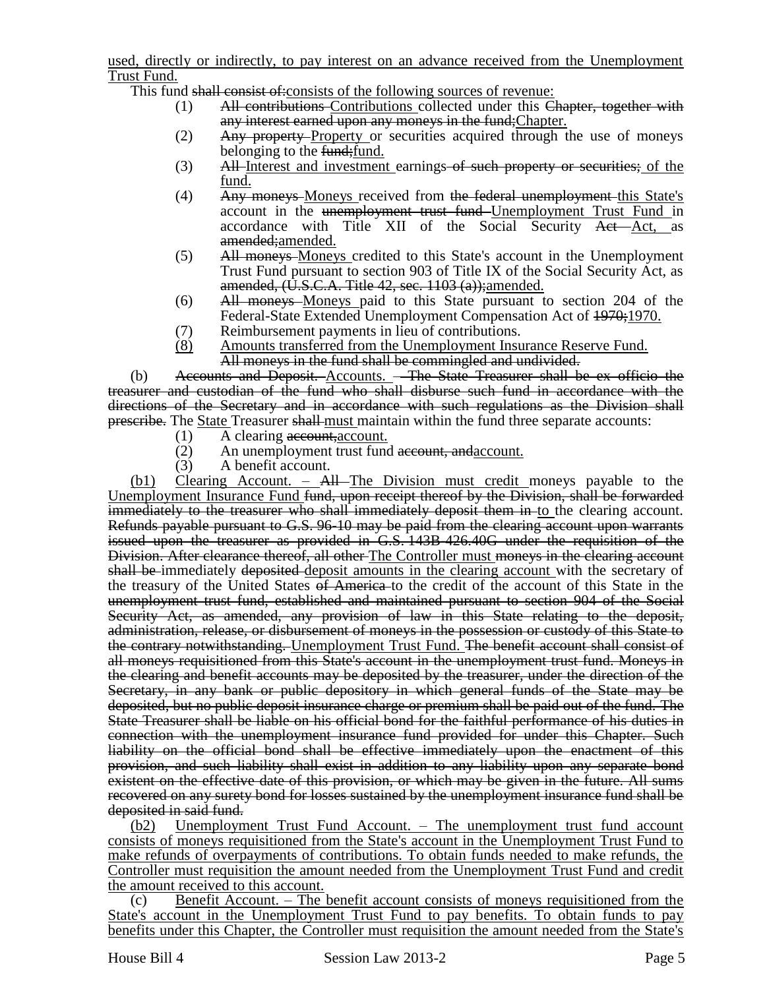used, directly or indirectly, to pay interest on an advance received from the Unemployment Trust Fund.

This fund shall consist of: consists of the following sources of revenue:

- (1) All contributions Contributions collected under this Chapter, together with any interest earned upon any moneys in the fund; Chapter.
- (2) Any property Property or securities acquired through the use of moneys belonging to the fund; fund.
- (3) All-Interest and investment earnings of such property or securities; of the fund.
- (4) Any moneys-Moneys received from the federal unemployment this State's account in the unemployment trust fund Unemployment Trust Fund in accordance with Title XII of the Social Security Act Act, as amended;amended.
- (5) All moneys Moneys credited to this State's account in the Unemployment Trust Fund pursuant to section 903 of Title IX of the Social Security Act, as amended,  $(U.S.C.A.$  Title 42, sec.  $1103(a)$ ; amended.
- (6) All moneys Moneys paid to this State pursuant to section 204 of the Federal-State Extended Unemployment Compensation Act of  $\frac{1970}{1970}$ .
- (7) Reimbursement payments in lieu of contributions.
- (8) Amounts transferred from the Unemployment Insurance Reserve Fund. All moneys in the fund shall be commingled and undivided.

(b) Accounts and Deposit. Accounts. – The State Treasurer shall be ex officio the treasurer and custodian of the fund who shall disburse such fund in accordance with the directions of the Secretary and in accordance with such regulations as the Division shall **prescribe.** The State Treasurer shall-must maintain within the fund three separate accounts:

- $(1)$  A clearing account, account.
- (2) An unemployment trust fund account, and account.
- (3) A benefit account.

 $(b1)$  Clearing Account. – All The Division must credit moneys payable to the Unemployment Insurance Fund <del>fund, upon receipt thereof by the Division, shall be forwarded</del> immediately to the treasurer who shall immediately deposit them in-to the clearing account. Refunds payable pursuant to G.S. 96-10 may be paid from the clearing account upon warrants issued upon the treasurer as provided in G.S. 143B-426.40G under the requisition of the Division. After clearance thereof, all other The Controller must moneys in the clearing account shall be immediately deposited deposit amounts in the clearing account with the secretary of the treasury of the United States of America to the credit of the account of this State in the unemployment trust fund, established and maintained pursuant to section 904 of the Social Security Act, as amended, any provision of law in this State relating to the deposit, administration, release, or disbursement of moneys in the possession or custody of this State to the contrary notwithstanding. Unemployment Trust Fund. The benefit account shall consist of all moneys requisitioned from this State's account in the unemployment trust fund. Moneys in the clearing and benefit accounts may be deposited by the treasurer, under the direction of the Secretary, in any bank or public depository in which general funds of the State may be deposited, but no public deposit insurance charge or premium shall be paid out of the fund. The State Treasurer shall be liable on his official bond for the faithful performance of his duties in connection with the unemployment insurance fund provided for under this Chapter. Such liability on the official bond shall be effective immediately upon the enactment of this provision, and such liability shall exist in addition to any liability upon any separate bond existent on the effective date of this provision, or which may be given in the future. All sums recovered on any surety bond for losses sustained by the unemployment insurance fund shall be deposited in said fund.

(b2) Unemployment Trust Fund Account. – The unemployment trust fund account consists of moneys requisitioned from the State's account in the Unemployment Trust Fund to make refunds of overpayments of contributions. To obtain funds needed to make refunds, the Controller must requisition the amount needed from the Unemployment Trust Fund and credit the amount received to this account.

(c) Benefit Account. – The benefit account consists of moneys requisitioned from the State's account in the Unemployment Trust Fund to pay benefits. To obtain funds to pay benefits under this Chapter, the Controller must requisition the amount needed from the State's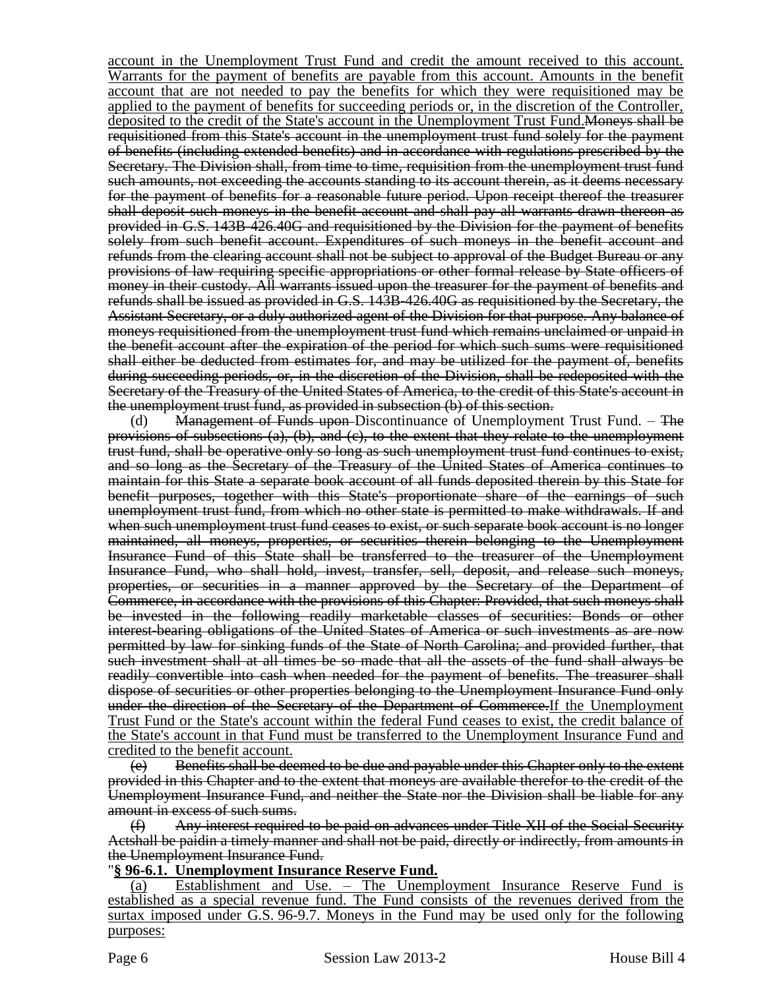account in the Unemployment Trust Fund and credit the amount received to this account. Warrants for the payment of benefits are payable from this account. Amounts in the benefit account that are not needed to pay the benefits for which they were requisitioned may be applied to the payment of benefits for succeeding periods or, in the discretion of the Controller, deposited to the credit of the State's account in the Unemployment Trust Fund. Moneys shall be requisitioned from this State's account in the unemployment trust fund solely for the payment of benefits (including extended benefits) and in accordance with regulations prescribed by the Secretary. The Division shall, from time to time, requisition from the unemployment trust fund such amounts, not exceeding the accounts standing to its account therein, as it deems necessary for the payment of benefits for a reasonable future period. Upon receipt thereof the treasurer shall deposit such moneys in the benefit account and shall pay all warrants drawn thereon as provided in G.S. 143B-426.40G and requisitioned by the Division for the payment of benefits solely from such benefit account. Expenditures of such moneys in the benefit account and refunds from the clearing account shall not be subject to approval of the Budget Bureau or any provisions of law requiring specific appropriations or other formal release by State officers of money in their custody. All warrants issued upon the treasurer for the payment of benefits and refunds shall be issued as provided in G.S. 143B-426.40G as requisitioned by the Secretary, the Assistant Secretary, or a duly authorized agent of the Division for that purpose. Any balance of moneys requisitioned from the unemployment trust fund which remains unclaimed or unpaid in the benefit account after the expiration of the period for which such sums were requisitioned shall either be deducted from estimates for, and may be utilized for the payment of, benefits during succeeding periods, or, in the discretion of the Division, shall be redeposited with the Secretary of the Treasury of the United States of America, to the credit of this State's account in the unemployment trust fund, as provided in subsection (b) of this section.

(d) **Management of Funds upon-Discontinuance of Unemployment Trust Fund.** – The provisions of subsections  $(a)$ ,  $(b)$ , and  $(c)$ , to the extent that they relate to the unemployment trust fund, shall be operative only so long as such unemployment trust fund continues to exist, and so long as the Secretary of the Treasury of the United States of America continues to maintain for this State a separate book account of all funds deposited therein by this State for benefit purposes, together with this State's proportionate share of the earnings of such unemployment trust fund, from which no other state is permitted to make withdrawals. If and when such unemployment trust fund ceases to exist, or such separate book account is no longer maintained, all moneys, properties, or securities therein belonging to the Unemployment Insurance Fund of this State shall be transferred to the treasurer of the Unemployment Insurance Fund, who shall hold, invest, transfer, sell, deposit, and release such moneys, properties, or securities in a manner approved by the Secretary of the Department of Commerce, in accordance with the provisions of this Chapter: Provided, that such moneys shall be invested in the following readily marketable classes of securities: Bonds or other interest-bearing obligations of the United States of America or such investments as are now permitted by law for sinking funds of the State of North Carolina; and provided further, that such investment shall at all times be so made that all the assets of the fund shall always be readily convertible into cash when needed for the payment of benefits. The treasurer shall dispose of securities or other properties belonging to the Unemployment Insurance Fund only under the direction of the Secretary of the Department of Commerce. If the Unemployment Trust Fund or the State's account within the federal Fund ceases to exist, the credit balance of the State's account in that Fund must be transferred to the Unemployment Insurance Fund and credited to the benefit account.

(e) Benefits shall be deemed to be due and payable under this Chapter only to the extent provided in this Chapter and to the extent that moneys are available therefor to the credit of the Unemployment Insurance Fund, and neither the State nor the Division shall be liable for any amount in excess of such sums.

(f) Any interest required to be paid on advances under Title XII of the Social Security Actshall be paidin a timely manner and shall not be paid, directly or indirectly, from amounts in the Unemployment Insurance Fund.

#### "**§ 96-6.1. Unemployment Insurance Reserve Fund.**

(a) Establishment and Use. – The Unemployment Insurance Reserve Fund is established as a special revenue fund. The Fund consists of the revenues derived from the surtax imposed under G.S. 96-9.7. Moneys in the Fund may be used only for the following purposes: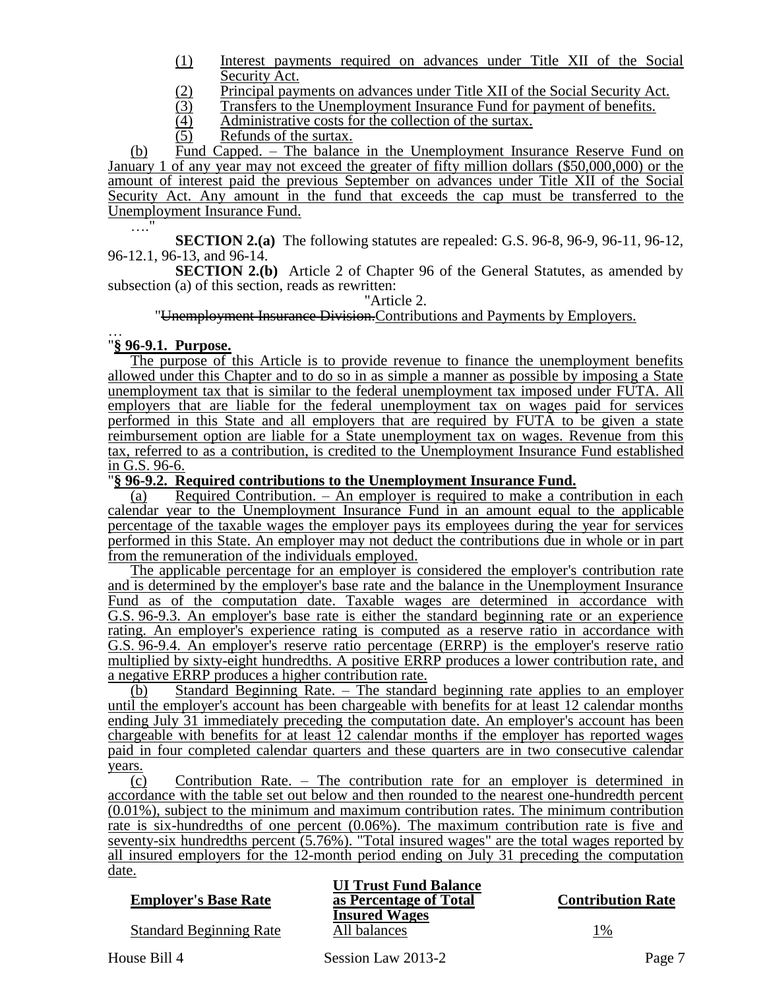- (1) Interest payments required on advances under Title XII of the Social Security Act.
- (2) Principal payments on advances under Title XII of the Social Security Act.<br>
Transfers to the Unemployment Insurance Fund for payment of benefits.
- (3) Transfers to the Unemployment Insurance Fund for payment of benefits.<br>
(4) Administrative costs for the collection of the surtax.
- $\frac{4}{5}$  Administrative costs for the collection of the surtax.<br>(5) Refunds of the surtax.
- Refunds of the surtax.

(b) Fund Capped. – The balance in the Unemployment Insurance Reserve Fund on January 1 of any year may not exceed the greater of fifty million dollars (\$50,000,000) or the amount of interest paid the previous September on advances under Title XII of the Social Security Act. Any amount in the fund that exceeds the cap must be transferred to the Unemployment Insurance Fund. …<sup>…</sup>

**SECTION 2.(a)** The following statutes are repealed: G.S. 96-8, 96-9, 96-11, 96-12, 96-12.1, 96-13, and 96-14.

**SECTION 2.(b)** Article 2 of Chapter 96 of the General Statutes, as amended by subsection (a) of this section, reads as rewritten:

"Article 2.

"Unemployment Insurance Division.Contributions and Payments by Employers.

#### … "**§ 96-9.1. Purpose.**

The purpose of this Article is to provide revenue to finance the unemployment benefits allowed under this Chapter and to do so in as simple a manner as possible by imposing a State unemployment tax that is similar to the federal unemployment tax imposed under FUTA. All employers that are liable for the federal unemployment tax on wages paid for services performed in this State and all employers that are required by FUTA to be given a state reimbursement option are liable for a State unemployment tax on wages. Revenue from this tax, referred to as a contribution, is credited to the Unemployment Insurance Fund established in G.S. 96-6.

#### "**§ 96-9.2. Required contributions to the Unemployment Insurance Fund.**

(a) Required Contribution. – An employer is required to make a contribution in each calendar year to the Unemployment Insurance Fund in an amount equal to the applicable percentage of the taxable wages the employer pays its employees during the year for services performed in this State. An employer may not deduct the contributions due in whole or in part from the remuneration of the individuals employed.

The applicable percentage for an employer is considered the employer's contribution rate and is determined by the employer's base rate and the balance in the Unemployment Insurance Fund as of the computation date. Taxable wages are determined in accordance with G.S. 96-9.3. An employer's base rate is either the standard beginning rate or an experience rating. An employer's experience rating is computed as a reserve ratio in accordance with G.S. 96-9.4. An employer's reserve ratio percentage (ERRP) is the employer's reserve ratio multiplied by sixty-eight hundredths. A positive ERRP produces a lower contribution rate, and a negative ERRP produces a higher contribution rate.

(b) Standard Beginning Rate. – The standard beginning rate applies to an employer until the employer's account has been chargeable with benefits for at least 12 calendar months ending July 31 immediately preceding the computation date. An employer's account has been chargeable with benefits for at least 12 calendar months if the employer has reported wages paid in four completed calendar quarters and these quarters are in two consecutive calendar years.

(c) Contribution Rate. – The contribution rate for an employer is determined in accordance with the table set out below and then rounded to the nearest one-hundredth percent (0.01%), subject to the minimum and maximum contribution rates. The minimum contribution rate is six-hundredths of one percent (0.06%). The maximum contribution rate is five and seventy-six hundredths percent (5.76%). "Total insured wages" are the total wages reported by all insured employers for the 12-month period ending on July 31 preceding the computation date.

Standard Beginning Rate All balances 1%

**UI Trust Fund Balance Employer's Base Rate as Percentage of Total Contribution Rate Insured Wages**

House Bill 4 Session Law 2013-2 Page 7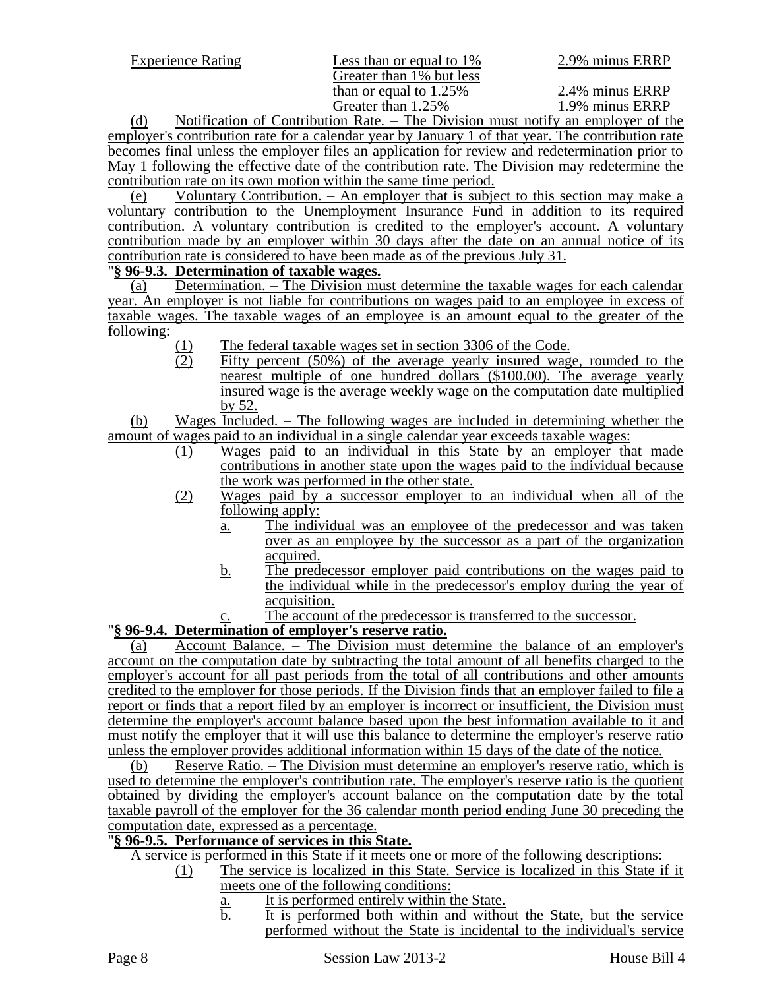Greater than  $1\%$  but less than or equal to  $1.25\%$ <br>Greater than  $1.25\%$   $2.4\%$  minus ERRP<br> $1.9\%$  minus ERRP Greater than 1.25%

(d) Notification of Contribution Rate. – The Division must notify an employer of the employer's contribution rate for a calendar year by January 1 of that year. The contribution rate becomes final unless the employer files an application for review and redetermination prior to May 1 following the effective date of the contribution rate. The Division may redetermine the contribution rate on its own motion within the same time period.

(e) Voluntary Contribution. – An employer that is subject to this section may make a voluntary contribution to the Unemployment Insurance Fund in addition to its required contribution. A voluntary contribution is credited to the employer's account. A voluntary contribution made by an employer within 30 days after the date on an annual notice of its contribution rate is considered to have been made as of the previous July 31.

# "**§ 96-9.3. Determination of taxable wages.**

(a) Determination. – The Division must determine the taxable wages for each calendar year. An employer is not liable for contributions on wages paid to an employee in excess of taxable wages. The taxable wages of an employee is an amount equal to the greater of the following:

- (1) The federal taxable wages set in section 3306 of the Code.<br>(2) Fifty percent (50%) of the average yearly insured wag
- Fifty percent (50%) of the average yearly insured wage, rounded to the nearest multiple of one hundred dollars (\$100.00). The average yearly insured wage is the average weekly wage on the computation date multiplied by 52.

(b) Wages Included. – The following wages are included in determining whether the amount of wages paid to an individual in a single calendar year exceeds taxable wages:

- (1) Wages paid to an individual in this State by an employer that made contributions in another state upon the wages paid to the individual because the work was performed in the other state.
- (2) Wages paid by a successor employer to an individual when all of the following apply:
	- a. The individual was an employee of the predecessor and was taken over as an employee by the successor as a part of the organization acquired.
	- b. The predecessor employer paid contributions on the wages paid to the individual while in the predecessor's employ during the year of acquisition.
		- The account of the predecessor is transferred to the successor.

## "**§ 96-9.4. Determination of employer's reserve ratio.**

(a) Account Balance. – The Division must determine the balance of an employer's account on the computation date by subtracting the total amount of all benefits charged to the employer's account for all past periods from the total of all contributions and other amounts credited to the employer for those periods. If the Division finds that an employer failed to file a report or finds that a report filed by an employer is incorrect or insufficient, the Division must determine the employer's account balance based upon the best information available to it and must notify the employer that it will use this balance to determine the employer's reserve ratio unless the employer provides additional information within 15 days of the date of the notice.

(b) Reserve Ratio. – The Division must determine an employer's reserve ratio, which is used to determine the employer's contribution rate. The employer's reserve ratio is the quotient obtained by dividing the employer's account balance on the computation date by the total taxable payroll of the employer for the 36 calendar month period ending June 30 preceding the computation date, expressed as a percentage.

#### "**§ 96-9.5. Performance of services in this State.**

A service is performed in this State if it meets one or more of the following descriptions:

- (1) The service is localized in this State. Service is localized in this State if it meets one of the following conditions:
	- a. It is performed entirely within the State.
	- b. It is performed both within and without the State, but the service performed without the State is incidental to the individual's service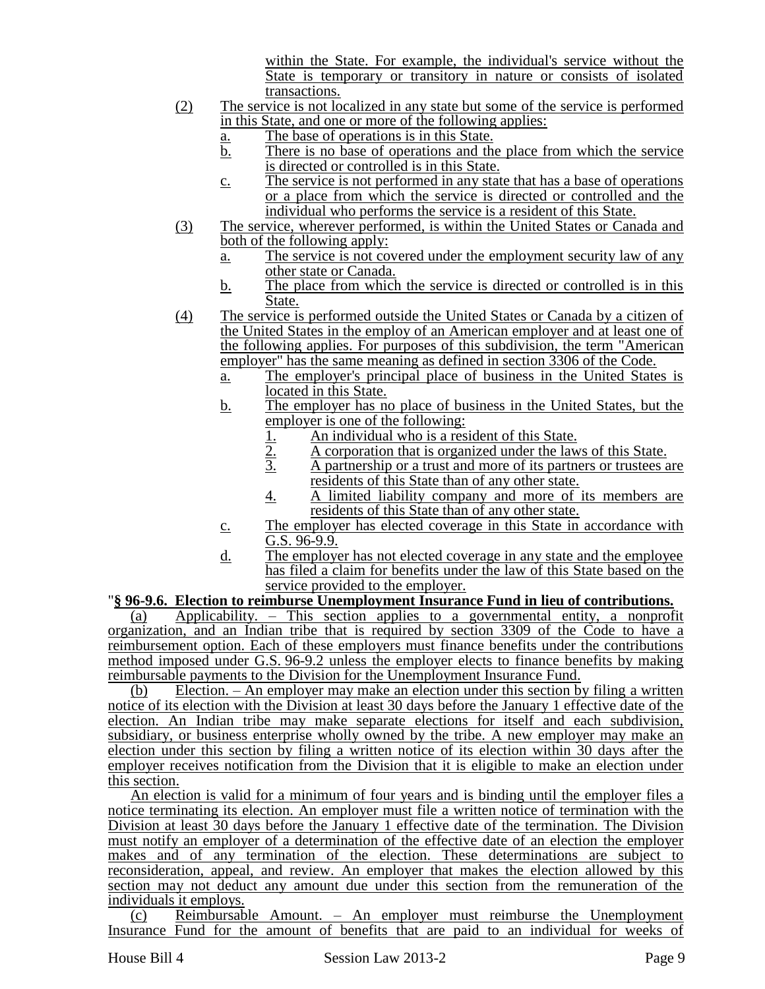within the State. For example, the individual's service without the State is temporary or transitory in nature or consists of isolated transactions.

- (2) The service is not localized in any state but some of the service is performed in this State, and one or more of the following applies:
	- a. The base of operations is in this State.
	- $\overline{b}$ . There is no base of operations and the place from which the service is directed or controlled is in this State.
	- c. The service is not performed in any state that has a base of operations or a place from which the service is directed or controlled and the individual who performs the service is a resident of this State.
- (3) The service, wherever performed, is within the United States or Canada and both of the following apply:
	- a. The service is not covered under the employment security law of any other state or Canada.
	- b. The place from which the service is directed or controlled is in this State.
- (4) The service is performed outside the United States or Canada by a citizen of the United States in the employ of an American employer and at least one of the following applies. For purposes of this subdivision, the term "American employer" has the same meaning as defined in section 3306 of the Code.
	- a. The employer's principal place of business in the United States is located in this State.
	- b. The employer has no place of business in the United States, but the employer is one of the following:
		-
		- 2. A corporation that is organized under the laws of this State.
		- 1.  $\frac{2}{3}$  An individual who is a resident of this State.<br>A corporation that is organized under the law<br>A partnership or a trust and more of its partn 3. A partnership or a trust and more of its partners or trustees are residents of this State than of any other state.
		- 4. A limited liability company and more of its members are residents of this State than of any other state.
	- c. The employer has elected coverage in this State in accordance with G.S. 96-9.9.
	- d. The employer has not elected coverage in any state and the employee has filed a claim for benefits under the law of this State based on the service provided to the employer.

## "**§ 96-9.6. Election to reimburse Unemployment Insurance Fund in lieu of contributions.**

(a) Applicability. – This section applies to a governmental entity, a nonprofit organization, and an Indian tribe that is required by section 3309 of the Code to have a reimbursement option. Each of these employers must finance benefits under the contributions method imposed under G.S. 96-9.2 unless the employer elects to finance benefits by making reimbursable payments to the Division for the Unemployment Insurance Fund.

(b) Election. – An employer may make an election under this section by filing a written notice of its election with the Division at least 30 days before the January 1 effective date of the election. An Indian tribe may make separate elections for itself and each subdivision, subsidiary, or business enterprise wholly owned by the tribe. A new employer may make an election under this section by filing a written notice of its election within 30 days after the employer receives notification from the Division that it is eligible to make an election under this section.

An election is valid for a minimum of four years and is binding until the employer files a notice terminating its election. An employer must file a written notice of termination with the Division at least 30 days before the January 1 effective date of the termination. The Division must notify an employer of a determination of the effective date of an election the employer makes and of any termination of the election. These determinations are subject to reconsideration, appeal, and review. An employer that makes the election allowed by this section may not deduct any amount due under this section from the remuneration of the individuals it employs.

(c) Reimbursable Amount. – An employer must reimburse the Unemployment Insurance Fund for the amount of benefits that are paid to an individual for weeks of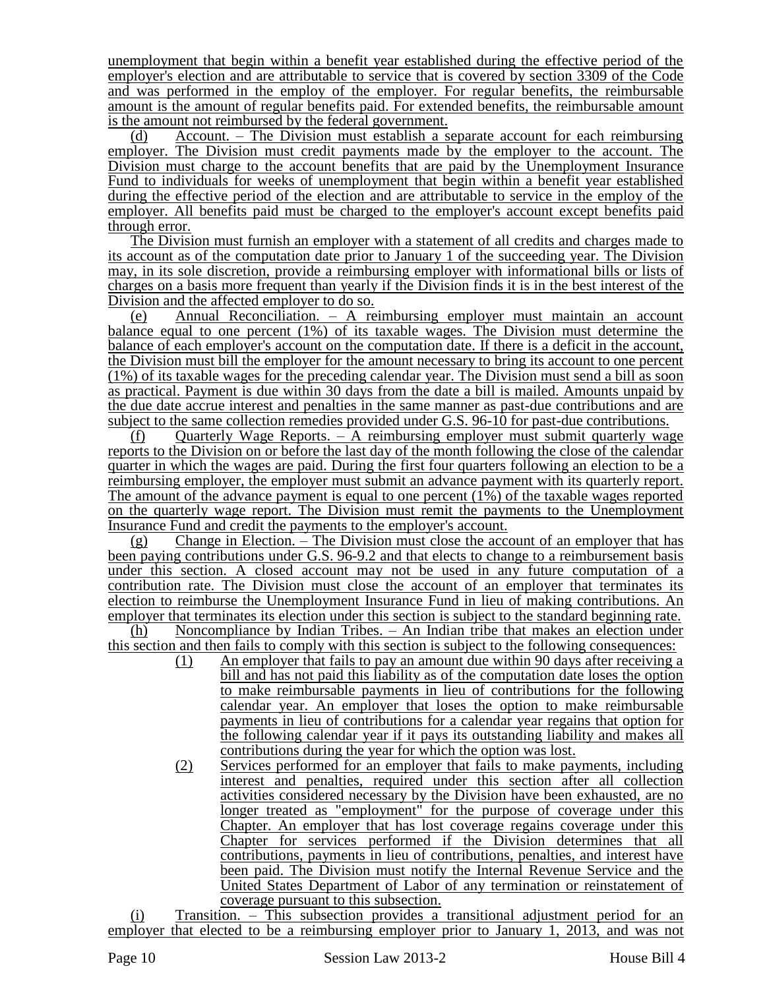unemployment that begin within a benefit year established during the effective period of the employer's election and are attributable to service that is covered by section 3309 of the Code and was performed in the employ of the employer. For regular benefits, the reimbursable amount is the amount of regular benefits paid. For extended benefits, the reimbursable amount is the amount not reimbursed by the federal government.

(d) Account. – The Division must establish a separate account for each reimbursing employer. The Division must credit payments made by the employer to the account. The Division must charge to the account benefits that are paid by the Unemployment Insurance Fund to individuals for weeks of unemployment that begin within a benefit year established during the effective period of the election and are attributable to service in the employ of the employer. All benefits paid must be charged to the employer's account except benefits paid through error.

The Division must furnish an employer with a statement of all credits and charges made to its account as of the computation date prior to January 1 of the succeeding year. The Division may, in its sole discretion, provide a reimbursing employer with informational bills or lists of charges on a basis more frequent than yearly if the Division finds it is in the best interest of the Division and the affected employer to do so.

(e) Annual Reconciliation. – A reimbursing employer must maintain an account balance equal to one percent (1%) of its taxable wages. The Division must determine the balance of each employer's account on the computation date. If there is a deficit in the account, the Division must bill the employer for the amount necessary to bring its account to one percent (1%) of its taxable wages for the preceding calendar year. The Division must send a bill as soon as practical. Payment is due within 30 days from the date a bill is mailed. Amounts unpaid by the due date accrue interest and penalties in the same manner as past-due contributions and are subject to the same collection remedies provided under G.S. 96-10 for past-due contributions.

(f) Quarterly Wage Reports.  $-$  A reimbursing employer must submit quarterly wage reports to the Division on or before the last day of the month following the close of the calendar quarter in which the wages are paid. During the first four quarters following an election to be a reimbursing employer, the employer must submit an advance payment with its quarterly report. The amount of the advance payment is equal to one percent  $(1\%)$  of the taxable wages reported on the quarterly wage report. The Division must remit the payments to the Unemployment Insurance Fund and credit the payments to the employer's account.

(g) Change in Election. – The Division must close the account of an employer that has been paying contributions under G.S. 96-9.2 and that elects to change to a reimbursement basis under this section. A closed account may not be used in any future computation of a contribution rate. The Division must close the account of an employer that terminates its election to reimburse the Unemployment Insurance Fund in lieu of making contributions. An employer that terminates its election under this section is subject to the standard beginning rate.

(h) Noncompliance by Indian Tribes. – An Indian tribe that makes an election under this section and then fails to comply with this section is subject to the following consequences:

- (1) An employer that fails to pay an amount due within 90 days after receiving a bill and has not paid this liability as of the computation date loses the option to make reimbursable payments in lieu of contributions for the following calendar year. An employer that loses the option to make reimbursable payments in lieu of contributions for a calendar year regains that option for the following calendar year if it pays its outstanding liability and makes all contributions during the year for which the option was lost.
- (2) Services performed for an employer that fails to make payments, including interest and penalties, required under this section after all collection activities considered necessary by the Division have been exhausted, are no longer treated as "employment" for the purpose of coverage under this Chapter. An employer that has lost coverage regains coverage under this Chapter for services performed if the Division determines that all contributions, payments in lieu of contributions, penalties, and interest have been paid. The Division must notify the Internal Revenue Service and the United States Department of Labor of any termination or reinstatement of coverage pursuant to this subsection.

(i) Transition. – This subsection provides a transitional adjustment period for an employer that elected to be a reimbursing employer prior to January 1, 2013, and was not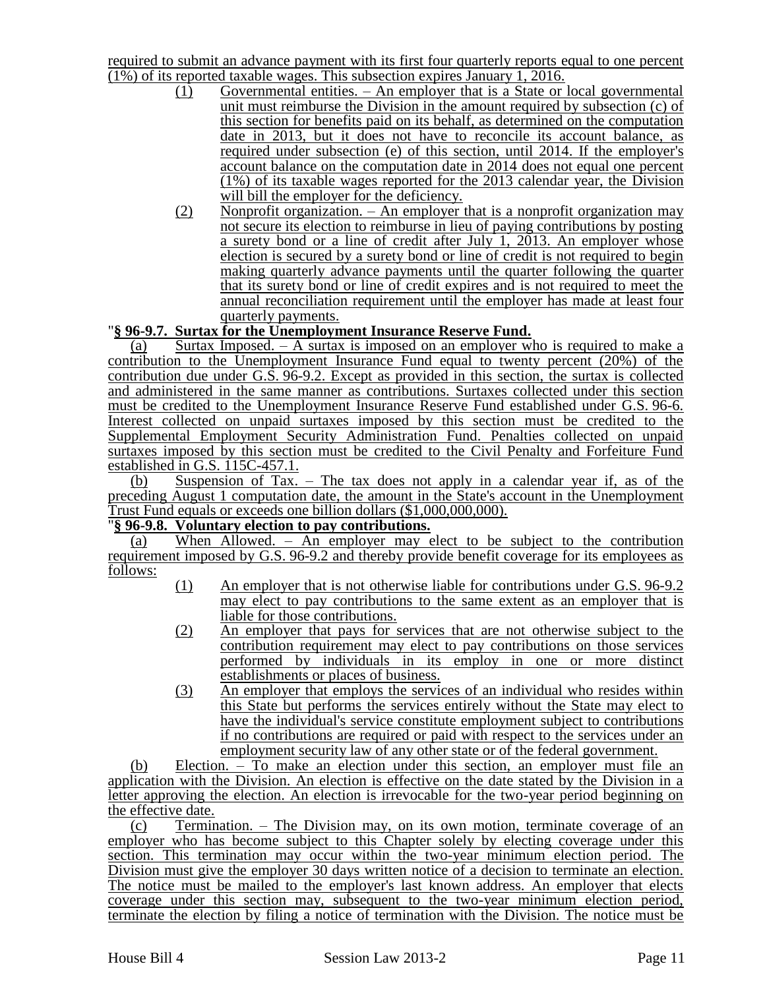required to submit an advance payment with its first four quarterly reports equal to one percent (1%) of its reported taxable wages. This subsection expires January 1, 2016.

- (1) Governmental entities. An employer that is a State or local governmental unit must reimburse the Division in the amount required by subsection (c) of this section for benefits paid on its behalf, as determined on the computation date in 2013, but it does not have to reconcile its account balance, as required under subsection (e) of this section, until 2014. If the employer's account balance on the computation date in 2014 does not equal one percent (1%) of its taxable wages reported for the 2013 calendar year, the Division will bill the employer for the deficiency.
- (2) Nonprofit organization. An employer that is a nonprofit organization may not secure its election to reimburse in lieu of paying contributions by posting a surety bond or a line of credit after July 1, 2013. An employer whose election is secured by a surety bond or line of credit is not required to begin making quarterly advance payments until the quarter following the quarter that its surety bond or line of credit expires and is not required to meet the annual reconciliation requirement until the employer has made at least four quarterly payments.

## "**§ 96-9.7. Surtax for the Unemployment Insurance Reserve Fund.**

(a) Surtax Imposed.  $-$  A surtax is imposed on an employer who is required to make a contribution to the Unemployment Insurance Fund equal to twenty percent (20%) of the contribution due under G.S. 96-9.2. Except as provided in this section, the surtax is collected and administered in the same manner as contributions. Surtaxes collected under this section must be credited to the Unemployment Insurance Reserve Fund established under G.S. 96-6. Interest collected on unpaid surtaxes imposed by this section must be credited to the Supplemental Employment Security Administration Fund. Penalties collected on unpaid surtaxes imposed by this section must be credited to the Civil Penalty and Forfeiture Fund established in G.S. 115C-457.1.

(b) Suspension of Tax. – The tax does not apply in a calendar year if, as of the preceding August 1 computation date, the amount in the State's account in the Unemployment Trust Fund equals or exceeds one billion dollars (\$1,000,000,000).

# "**§ 96-9.8. Voluntary election to pay contributions.**

(a) When Allowed. – An employer may elect to be subject to the contribution requirement imposed by G.S. 96-9.2 and thereby provide benefit coverage for its employees as follows:

- (1) An employer that is not otherwise liable for contributions under G.S. 96-9.2 may elect to pay contributions to the same extent as an employer that is liable for those contributions.
- (2) An employer that pays for services that are not otherwise subject to the contribution requirement may elect to pay contributions on those services performed by individuals in its employ in one or more distinct establishments or places of business.
- (3) An employer that employs the services of an individual who resides within this State but performs the services entirely without the State may elect to have the individual's service constitute employment subject to contributions if no contributions are required or paid with respect to the services under an employment security law of any other state or of the federal government.

(b) Election. – To make an election under this section, an employer must file an application with the Division. An election is effective on the date stated by the Division in a letter approving the election. An election is irrevocable for the two-year period beginning on the effective date.

(c) Termination. – The Division may, on its own motion, terminate coverage of an employer who has become subject to this Chapter solely by electing coverage under this section. This termination may occur within the two-year minimum election period. The Division must give the employer 30 days written notice of a decision to terminate an election. The notice must be mailed to the employer's last known address. An employer that elects coverage under this section may, subsequent to the two-year minimum election period, terminate the election by filing a notice of termination with the Division. The notice must be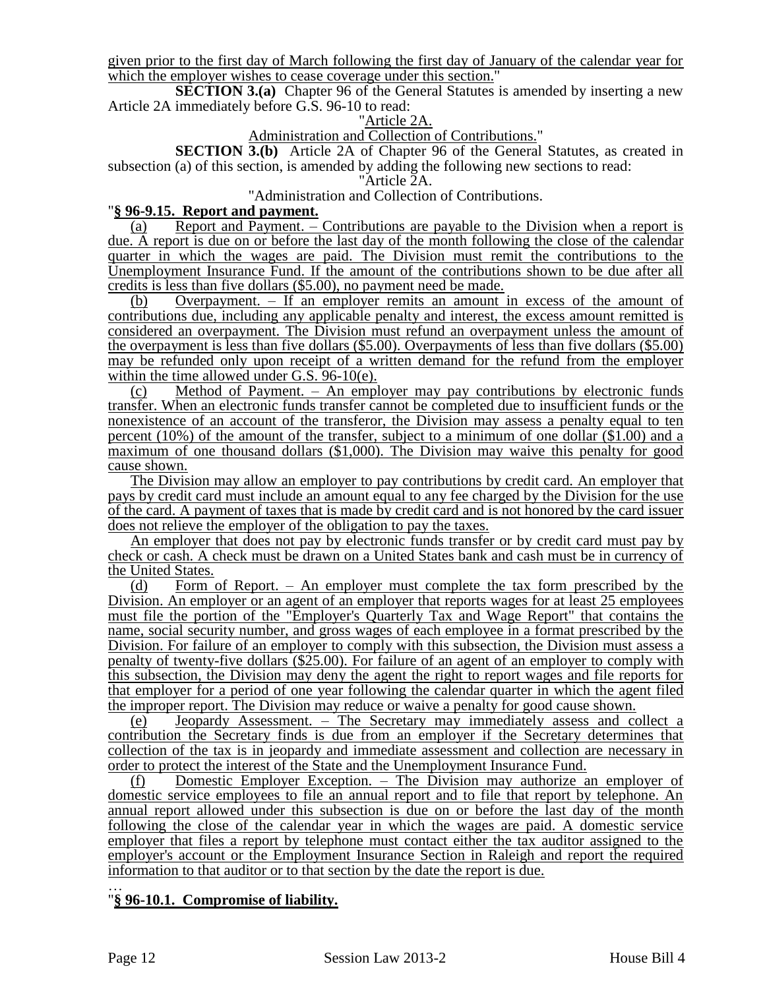given prior to the first day of March following the first day of January of the calendar year for which the employer wishes to cease coverage under this section."

**SECTION 3.(a)** Chapter 96 of the General Statutes is amended by inserting a new Article 2A immediately before G.S. 96-10 to read:

## "Article 2A.

## Administration and Collection of Contributions."

**SECTION 3.(b)** Article 2A of Chapter 96 of the General Statutes, as created in subsection (a) of this section, is amended by adding the following new sections to read:

#### "Article 2A.

### "Administration and Collection of Contributions.

## "**§ 96-9.15. Report and payment.**

(a) Report and Payment. – Contributions are payable to the Division when a report is due. A report is due on or before the last day of the month following the close of the calendar quarter in which the wages are paid. The Division must remit the contributions to the Unemployment Insurance Fund. If the amount of the contributions shown to be due after all credits is less than five dollars (\$5.00), no payment need be made.

(b) Overpayment. – If an employer remits an amount in excess of the amount of contributions due, including any applicable penalty and interest, the excess amount remitted is considered an overpayment. The Division must refund an overpayment unless the amount of the overpayment is less than five dollars (\$5.00). Overpayments of less than five dollars (\$5.00) may be refunded only upon receipt of a written demand for the refund from the employer within the time allowed under G.S. 96-10(e).

(c) Method of Payment. – An employer may pay contributions by electronic funds transfer. When an electronic funds transfer cannot be completed due to insufficient funds or the nonexistence of an account of the transferor, the Division may assess a penalty equal to ten percent (10%) of the amount of the transfer, subject to a minimum of one dollar (\$1.00) and a maximum of one thousand dollars (\$1,000). The Division may waive this penalty for good cause shown.

The Division may allow an employer to pay contributions by credit card. An employer that pays by credit card must include an amount equal to any fee charged by the Division for the use of the card. A payment of taxes that is made by credit card and is not honored by the card issuer does not relieve the employer of the obligation to pay the taxes.

An employer that does not pay by electronic funds transfer or by credit card must pay by check or cash. A check must be drawn on a United States bank and cash must be in currency of the United States.

(d) Form of Report. – An employer must complete the tax form prescribed by the Division. An employer or an agent of an employer that reports wages for at least 25 employees must file the portion of the "Employer's Quarterly Tax and Wage Report" that contains the name, social security number, and gross wages of each employee in a format prescribed by the Division. For failure of an employer to comply with this subsection, the Division must assess a penalty of twenty-five dollars (\$25.00). For failure of an agent of an employer to comply with this subsection, the Division may deny the agent the right to report wages and file reports for that employer for a period of one year following the calendar quarter in which the agent filed the improper report. The Division may reduce or waive a penalty for good cause shown.

(e) Jeopardy Assessment. – The Secretary may immediately assess and collect a contribution the Secretary finds is due from an employer if the Secretary determines that collection of the tax is in jeopardy and immediate assessment and collection are necessary in order to protect the interest of the State and the Unemployment Insurance Fund.

(f) Domestic Employer Exception. – The Division may authorize an employer of domestic service employees to file an annual report and to file that report by telephone. An annual report allowed under this subsection is due on or before the last day of the month following the close of the calendar year in which the wages are paid. A domestic service employer that files a report by telephone must contact either the tax auditor assigned to the employer's account or the Employment Insurance Section in Raleigh and report the required information to that auditor or to that section by the date the report is due.

… "**§ 96-10.1. Compromise of liability.**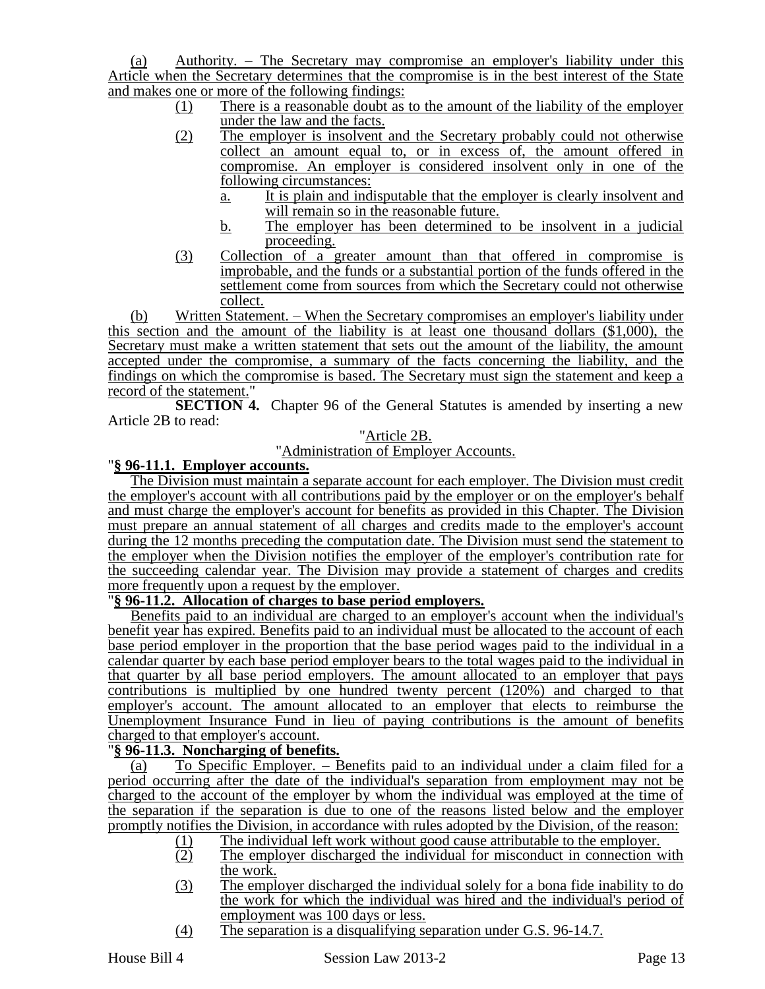(a) Authority. – The Secretary may compromise an employer's liability under this Article when the Secretary determines that the compromise is in the best interest of the State and makes one or more of the following findings:

- (1) There is a reasonable doubt as to the amount of the liability of the employer under the law and the facts.
- (2) The employer is insolvent and the Secretary probably could not otherwise collect an amount equal to, or in excess of, the amount offered in compromise. An employer is considered insolvent only in one of the following circumstances:
	- a. It is plain and indisputable that the employer is clearly insolvent and will remain so in the reasonable future.
	- b. The employer has been determined to be insolvent in a judicial proceeding.
- (3) Collection of a greater amount than that offered in compromise is improbable, and the funds or a substantial portion of the funds offered in the settlement come from sources from which the Secretary could not otherwise collect.

(b) Written Statement. – When the Secretary compromises an employer's liability under this section and the amount of the liability is at least one thousand dollars (\$1,000), the Secretary must make a written statement that sets out the amount of the liability, the amount accepted under the compromise, a summary of the facts concerning the liability, and the findings on which the compromise is based. The Secretary must sign the statement and keep a record of the statement."

**SECTION 4.** Chapter 96 of the General Statutes is amended by inserting a new Article 2B to read:

# "Article 2B. "Administration of Employer Accounts.

# "**§ 96-11.1. Employer accounts.**

The Division must maintain a separate account for each employer. The Division must credit the employer's account with all contributions paid by the employer or on the employer's behalf and must charge the employer's account for benefits as provided in this Chapter. The Division must prepare an annual statement of all charges and credits made to the employer's account during the 12 months preceding the computation date. The Division must send the statement to the employer when the Division notifies the employer of the employer's contribution rate for the succeeding calendar year. The Division may provide a statement of charges and credits more frequently upon a request by the employer.

# "**§ 96-11.2. Allocation of charges to base period employers.**

Benefits paid to an individual are charged to an employer's account when the individual's benefit year has expired. Benefits paid to an individual must be allocated to the account of each base period employer in the proportion that the base period wages paid to the individual in a calendar quarter by each base period employer bears to the total wages paid to the individual in that quarter by all base period employers. The amount allocated to an employer that pays contributions is multiplied by one hundred twenty percent (120%) and charged to that employer's account. The amount allocated to an employer that elects to reimburse the Unemployment Insurance Fund in lieu of paying contributions is the amount of benefits charged to that employer's account.

## "**§ 96-11.3. Noncharging of benefits.**

(a) To Specific Employer. – Benefits paid to an individual under a claim filed for a period occurring after the date of the individual's separation from employment may not be charged to the account of the employer by whom the individual was employed at the time of the separation if the separation is due to one of the reasons listed below and the employer promptly notifies the Division, in accordance with rules adopted by the Division, of the reason:

- (1) The individual left work without good cause attributable to the employer.
- (2) The employer discharged the individual for misconduct in connection with the work.
- (3) The employer discharged the individual solely for a bona fide inability to do the work for which the individual was hired and the individual's period of employment was 100 days or less.
- (4) The separation is a disqualifying separation under G.S. 96-14.7.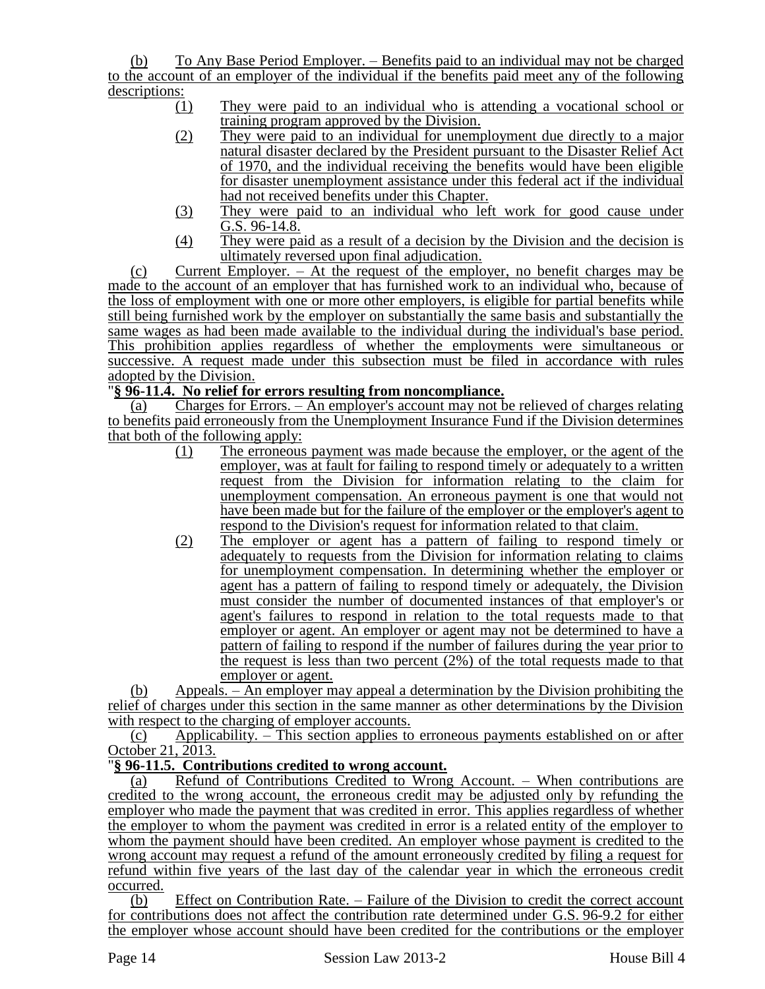(b) To Any Base Period Employer. – Benefits paid to an individual may not be charged to the account of an employer of the individual if the benefits paid meet any of the following descriptions:

- (1) They were paid to an individual who is attending a vocational school or training program approved by the Division.
- (2) They were paid to an individual for unemployment due directly to a major natural disaster declared by the President pursuant to the Disaster Relief Act of 1970, and the individual receiving the benefits would have been eligible for disaster unemployment assistance under this federal act if the individual had not received benefits under this Chapter.
- (3) They were paid to an individual who left work for good cause under G.S. 96-14.8.
- (4) They were paid as a result of a decision by the Division and the decision is ultimately reversed upon final adjudication.

(c) Current Employer. – At the request of the employer, no benefit charges may be made to the account of an employer that has furnished work to an individual who, because of the loss of employment with one or more other employers, is eligible for partial benefits while still being furnished work by the employer on substantially the same basis and substantially the same wages as had been made available to the individual during the individual's base period. This prohibition applies regardless of whether the employments were simultaneous or successive. A request made under this subsection must be filed in accordance with rules adopted by the Division.

# "**§ 96-11.4. No relief for errors resulting from noncompliance.**

(a) Charges for Errors. – An employer's account may not be relieved of charges relating to benefits paid erroneously from the Unemployment Insurance Fund if the Division determines that both of the following apply:

- (1) The erroneous payment was made because the employer, or the agent of the employer, was at fault for failing to respond timely or adequately to a written request from the Division for information relating to the claim for unemployment compensation. An erroneous payment is one that would not have been made but for the failure of the employer or the employer's agent to respond to the Division's request for information related to that claim.
- (2) The employer or agent has a pattern of failing to respond timely or adequately to requests from the Division for information relating to claims for unemployment compensation. In determining whether the employer or agent has a pattern of failing to respond timely or adequately, the Division must consider the number of documented instances of that employer's or agent's failures to respond in relation to the total requests made to that employer or agent. An employer or agent may not be determined to have a pattern of failing to respond if the number of failures during the year prior to the request is less than two percent (2%) of the total requests made to that employer or agent.

(b) Appeals. – An employer may appeal a determination by the Division prohibiting the relief of charges under this section in the same manner as other determinations by the Division with respect to the charging of employer accounts.

(c) Applicability. – This section applies to erroneous payments established on or after October 21, 2013.

## "**§ 96-11.5. Contributions credited to wrong account.**

(a) Refund of Contributions Credited to Wrong Account. – When contributions are credited to the wrong account, the erroneous credit may be adjusted only by refunding the employer who made the payment that was credited in error. This applies regardless of whether the employer to whom the payment was credited in error is a related entity of the employer to whom the payment should have been credited. An employer whose payment is credited to the wrong account may request a refund of the amount erroneously credited by filing a request for refund within five years of the last day of the calendar year in which the erroneous credit occurred.

(b) Effect on Contribution Rate. – Failure of the Division to credit the correct account for contributions does not affect the contribution rate determined under G.S. 96-9.2 for either the employer whose account should have been credited for the contributions or the employer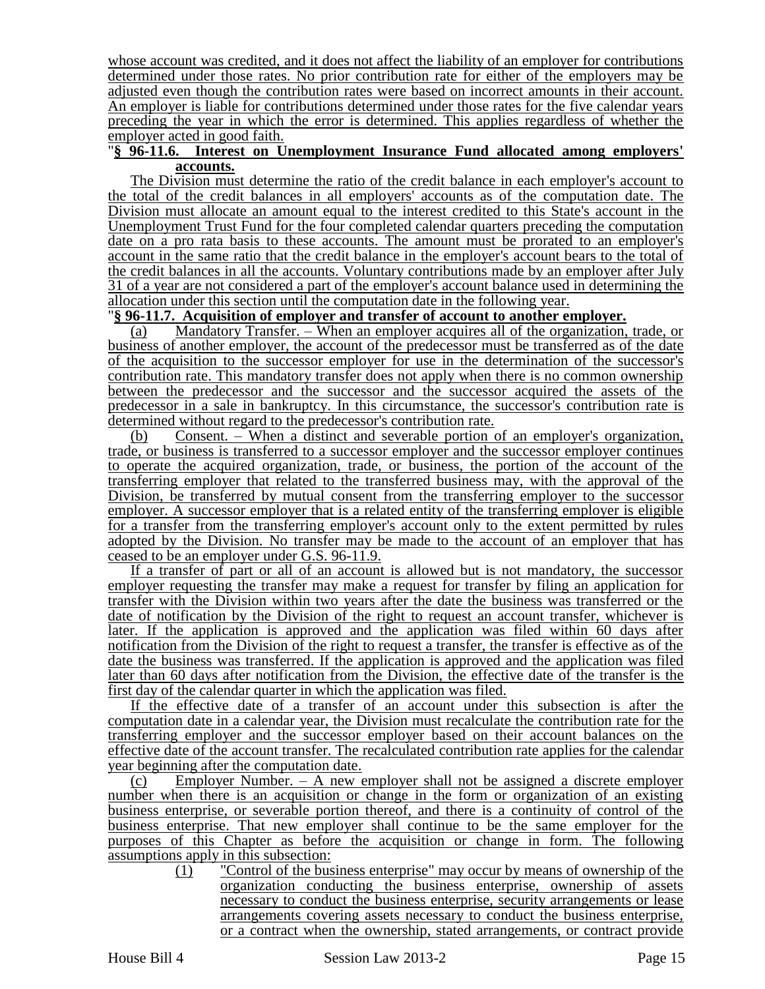whose account was credited, and it does not affect the liability of an employer for contributions determined under those rates. No prior contribution rate for either of the employers may be adjusted even though the contribution rates were based on incorrect amounts in their account. An employer is liable for contributions determined under those rates for the five calendar years preceding the year in which the error is determined. This applies regardless of whether the employer acted in good faith.

#### "**§ 96-11.6. Interest on Unemployment Insurance Fund allocated among employers' accounts.**

The Division must determine the ratio of the credit balance in each employer's account to the total of the credit balances in all employers' accounts as of the computation date. The Division must allocate an amount equal to the interest credited to this State's account in the Unemployment Trust Fund for the four completed calendar quarters preceding the computation date on a pro rata basis to these accounts. The amount must be prorated to an employer's account in the same ratio that the credit balance in the employer's account bears to the total of the credit balances in all the accounts. Voluntary contributions made by an employer after July 31 of a year are not considered a part of the employer's account balance used in determining the allocation under this section until the computation date in the following year.

# "**§ 96-11.7. Acquisition of employer and transfer of account to another employer.**

(a) Mandatory Transfer. – When an employer acquires all of the organization, trade, or business of another employer, the account of the predecessor must be transferred as of the date of the acquisition to the successor employer for use in the determination of the successor's contribution rate. This mandatory transfer does not apply when there is no common ownership between the predecessor and the successor and the successor acquired the assets of the predecessor in a sale in bankruptcy. In this circumstance, the successor's contribution rate is determined without regard to the predecessor's contribution rate.

(b) Consent. – When a distinct and severable portion of an employer's organization, trade, or business is transferred to a successor employer and the successor employer continues to operate the acquired organization, trade, or business, the portion of the account of the transferring employer that related to the transferred business may, with the approval of the Division, be transferred by mutual consent from the transferring employer to the successor employer. A successor employer that is a related entity of the transferring employer is eligible for a transfer from the transferring employer's account only to the extent permitted by rules adopted by the Division. No transfer may be made to the account of an employer that has ceased to be an employer under G.S. 96-11.9.

If a transfer of part or all of an account is allowed but is not mandatory, the successor employer requesting the transfer may make a request for transfer by filing an application for transfer with the Division within two years after the date the business was transferred or the date of notification by the Division of the right to request an account transfer, whichever is later. If the application is approved and the application was filed within 60 days after notification from the Division of the right to request a transfer, the transfer is effective as of the date the business was transferred. If the application is approved and the application was filed later than 60 days after notification from the Division, the effective date of the transfer is the first day of the calendar quarter in which the application was filed.

If the effective date of a transfer of an account under this subsection is after the computation date in a calendar year, the Division must recalculate the contribution rate for the transferring employer and the successor employer based on their account balances on the effective date of the account transfer. The recalculated contribution rate applies for the calendar year beginning after the computation date.

(c) Employer Number. – A new employer shall not be assigned a discrete employer number when there is an acquisition or change in the form or organization of an existing business enterprise, or severable portion thereof, and there is a continuity of control of the business enterprise. That new employer shall continue to be the same employer for the purposes of this Chapter as before the acquisition or change in form. The following assumptions apply in this subsection:

> (1) "Control of the business enterprise" may occur by means of ownership of the organization conducting the business enterprise, ownership of assets necessary to conduct the business enterprise, security arrangements or lease arrangements covering assets necessary to conduct the business enterprise, or a contract when the ownership, stated arrangements, or contract provide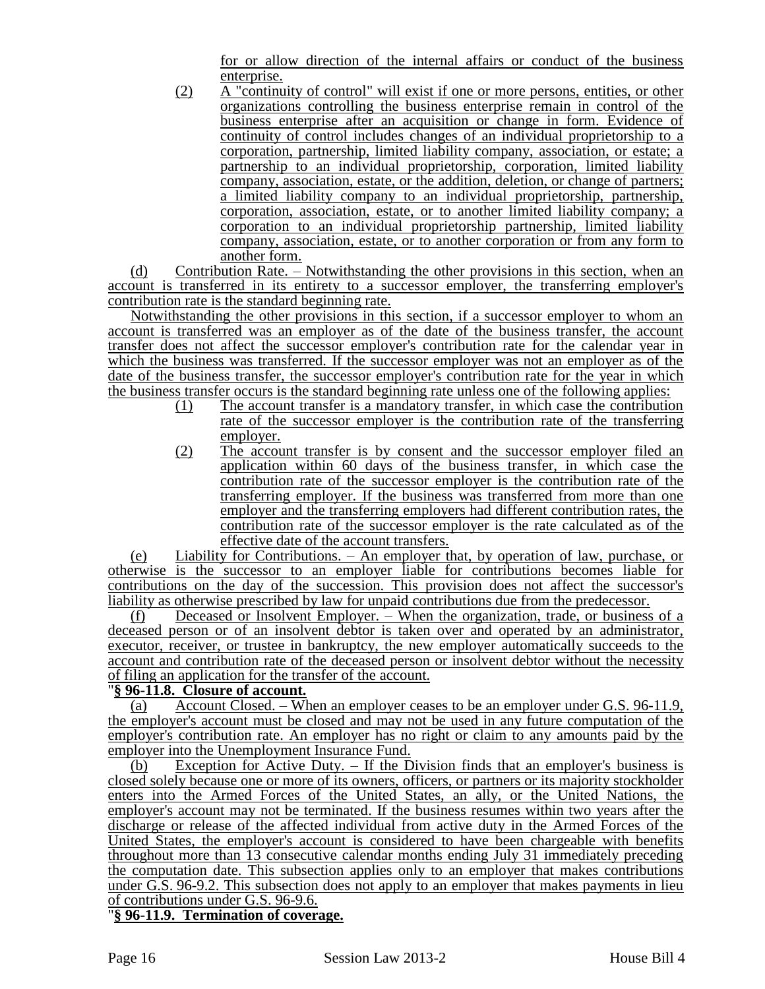for or allow direction of the internal affairs or conduct of the business enterprise.

(2) A "continuity of control" will exist if one or more persons, entities, or other organizations controlling the business enterprise remain in control of the business enterprise after an acquisition or change in form. Evidence of continuity of control includes changes of an individual proprietorship to a corporation, partnership, limited liability company, association, or estate; a partnership to an individual proprietorship, corporation, limited liability company, association, estate, or the addition, deletion, or change of partners; a limited liability company to an individual proprietorship, partnership, corporation, association, estate, or to another limited liability company; a corporation to an individual proprietorship partnership, limited liability company, association, estate, or to another corporation or from any form to another form.

(d) Contribution Rate. – Notwithstanding the other provisions in this section, when an account is transferred in its entirety to a successor employer, the transferring employer's contribution rate is the standard beginning rate.

Notwithstanding the other provisions in this section, if a successor employer to whom an account is transferred was an employer as of the date of the business transfer, the account transfer does not affect the successor employer's contribution rate for the calendar year in which the business was transferred. If the successor employer was not an employer as of the date of the business transfer, the successor employer's contribution rate for the year in which the business transfer occurs is the standard beginning rate unless one of the following applies:

- (1) The account transfer is a mandatory transfer, in which case the contribution rate of the successor employer is the contribution rate of the transferring employer.
- (2) The account transfer is by consent and the successor employer filed an application within 60 days of the business transfer, in which case the contribution rate of the successor employer is the contribution rate of the transferring employer. If the business was transferred from more than one employer and the transferring employers had different contribution rates, the contribution rate of the successor employer is the rate calculated as of the effective date of the account transfers.

(e) Liability for Contributions. – An employer that, by operation of law, purchase, or otherwise is the successor to an employer liable for contributions becomes liable for contributions on the day of the succession. This provision does not affect the successor's liability as otherwise prescribed by law for unpaid contributions due from the predecessor.

(f) Deceased or Insolvent Employer. – When the organization, trade, or business of a deceased person or of an insolvent debtor is taken over and operated by an administrator, executor, receiver, or trustee in bankruptcy, the new employer automatically succeeds to the account and contribution rate of the deceased person or insolvent debtor without the necessity of filing an application for the transfer of the account.

## "**§ 96-11.8. Closure of account.**

(a) Account Closed. – When an employer ceases to be an employer under G.S. 96-11.9, the employer's account must be closed and may not be used in any future computation of the employer's contribution rate. An employer has no right or claim to any amounts paid by the employer into the Unemployment Insurance Fund.

(b) Exception for Active Duty. – If the Division finds that an employer's business is closed solely because one or more of its owners, officers, or partners or its majority stockholder enters into the Armed Forces of the United States, an ally, or the United Nations, the employer's account may not be terminated. If the business resumes within two years after the discharge or release of the affected individual from active duty in the Armed Forces of the United States, the employer's account is considered to have been chargeable with benefits throughout more than 13 consecutive calendar months ending July 31 immediately preceding the computation date. This subsection applies only to an employer that makes contributions under G.S. 96-9.2. This subsection does not apply to an employer that makes payments in lieu of contributions under G.S. 96-9.6.

## "**§ 96-11.9. Termination of coverage.**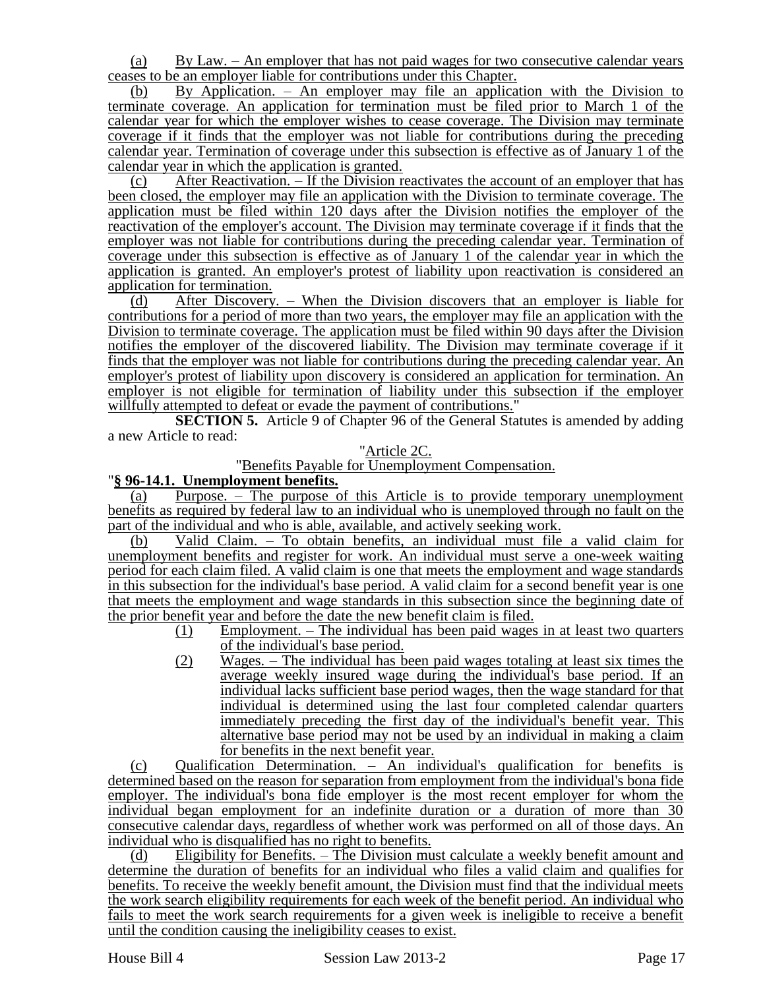(a) By Law. – An employer that has not paid wages for two consecutive calendar years ceases to be an employer liable for contributions under this Chapter.

(b) By Application. – An employer may file an application with the Division to terminate coverage. An application for termination must be filed prior to March 1 of the calendar year for which the employer wishes to cease coverage. The Division may terminate coverage if it finds that the employer was not liable for contributions during the preceding calendar year. Termination of coverage under this subsection is effective as of January 1 of the calendar year in which the application is granted.

(c) After Reactivation. – If the Division reactivates the account of an employer that has been closed, the employer may file an application with the Division to terminate coverage. The application must be filed within 120 days after the Division notifies the employer of the reactivation of the employer's account. The Division may terminate coverage if it finds that the employer was not liable for contributions during the preceding calendar year. Termination of coverage under this subsection is effective as of January 1 of the calendar year in which the application is granted. An employer's protest of liability upon reactivation is considered an application for termination.

(d) After Discovery. – When the Division discovers that an employer is liable for contributions for a period of more than two years, the employer may file an application with the Division to terminate coverage. The application must be filed within 90 days after the Division notifies the employer of the discovered liability. The Division may terminate coverage if it finds that the employer was not liable for contributions during the preceding calendar year. An employer's protest of liability upon discovery is considered an application for termination. An employer is not eligible for termination of liability under this subsection if the employer willfully attempted to defeat or evade the payment of contributions."

**SECTION 5.** Article 9 of Chapter 96 of the General Statutes is amended by adding a new Article to read:

#### "Article 2C.

#### "Benefits Payable for Unemployment Compensation.

#### "**§ 96-14.1. Unemployment benefits.**

(a) Purpose. – The purpose of this Article is to provide temporary unemployment benefits as required by federal law to an individual who is unemployed through no fault on the part of the individual and who is able, available, and actively seeking work.

(b) Valid Claim. – To obtain benefits, an individual must file a valid claim for unemployment benefits and register for work. An individual must serve a one-week waiting period for each claim filed. A valid claim is one that meets the employment and wage standards in this subsection for the individual's base period. A valid claim for a second benefit year is one that meets the employment and wage standards in this subsection since the beginning date of the prior benefit year and before the date the new benefit claim is filed.

- (1) Employment. The individual has been paid wages in at least two quarters of the individual's base period.
- (2) Wages. The individual has been paid wages totaling at least six times the average weekly insured wage during the individual's base period. If an individual lacks sufficient base period wages, then the wage standard for that individual is determined using the last four completed calendar quarters immediately preceding the first day of the individual's benefit year. This alternative base period may not be used by an individual in making a claim for benefits in the next benefit year.

(c) Qualification Determination. – An individual's qualification for benefits is determined based on the reason for separation from employment from the individual's bona fide employer. The individual's bona fide employer is the most recent employer for whom the individual began employment for an indefinite duration or a duration of more than 30 consecutive calendar days, regardless of whether work was performed on all of those days. An individual who is disqualified has no right to benefits.

(d) Eligibility for Benefits. – The Division must calculate a weekly benefit amount and determine the duration of benefits for an individual who files a valid claim and qualifies for benefits. To receive the weekly benefit amount, the Division must find that the individual meets the work search eligibility requirements for each week of the benefit period. An individual who fails to meet the work search requirements for a given week is ineligible to receive a benefit until the condition causing the ineligibility ceases to exist.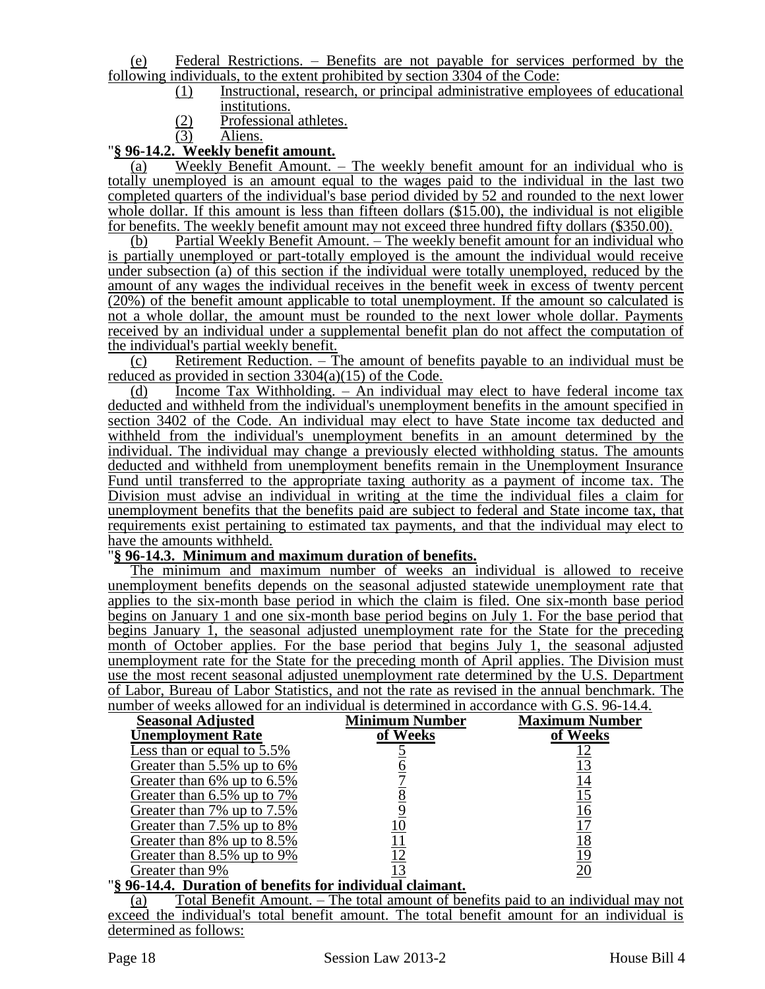(e) Federal Restrictions. – Benefits are not payable for services performed by the following individuals, to the extent prohibited by section 3304 of the Code:

- (1) Instructional, research, or principal administrative employees of educational institutions.
- $\frac{(2)}{(3)}$  Professional athletes.
- Aliens.

# "**§ 96-14.2. Weekly benefit amount.**

(a) Weekly Benefit Amount. – The weekly benefit amount for an individual who is totally unemployed is an amount equal to the wages paid to the individual in the last two completed quarters of the individual's base period divided by 52 and rounded to the next lower whole dollar. If this amount is less than fifteen dollars (\$15.00), the individual is not eligible for benefits. The weekly benefit amount may not exceed three hundred fifty dollars (\$350.00).

(b) Partial Weekly Benefit Amount. – The weekly benefit amount for an individual who is partially unemployed or part-totally employed is the amount the individual would receive under subsection (a) of this section if the individual were totally unemployed, reduced by the amount of any wages the individual receives in the benefit week in excess of twenty percent (20%) of the benefit amount applicable to total unemployment. If the amount so calculated is not a whole dollar, the amount must be rounded to the next lower whole dollar. Payments received by an individual under a supplemental benefit plan do not affect the computation of the individual's partial weekly benefit.

(c) Retirement Reduction. – The amount of benefits payable to an individual must be reduced as provided in section 3304(a)(15) of the Code.

(d) Income Tax Withholding. – An individual may elect to have federal income tax deducted and withheld from the individual's unemployment benefits in the amount specified in section 3402 of the Code. An individual may elect to have State income tax deducted and withheld from the individual's unemployment benefits in an amount determined by the individual. The individual may change a previously elected withholding status. The amounts deducted and withheld from unemployment benefits remain in the Unemployment Insurance Fund until transferred to the appropriate taxing authority as a payment of income tax. The Division must advise an individual in writing at the time the individual files a claim for unemployment benefits that the benefits paid are subject to federal and State income tax, that requirements exist pertaining to estimated tax payments, and that the individual may elect to have the amounts withheld.

### "**§ 96-14.3. Minimum and maximum duration of benefits.**

The minimum and maximum number of weeks an individual is allowed to receive unemployment benefits depends on the seasonal adjusted statewide unemployment rate that applies to the six-month base period in which the claim is filed. One six-month base period begins on January 1 and one six-month base period begins on July 1. For the base period that begins January 1, the seasonal adjusted unemployment rate for the State for the preceding month of October applies. For the base period that begins July 1, the seasonal adjusted unemployment rate for the State for the preceding month of April applies. The Division must use the most recent seasonal adjusted unemployment rate determined by the U.S. Department of Labor, Bureau of Labor Statistics, and not the rate as revised in the annual benchmark. The number of weeks allowed for an individual is determined in accordance with G.S. 96-14.4.

| <b>Seasonal Adjusted</b>                                                                                  | <b>Minimum Number</b> | <b>Maximum Number</b> |
|-----------------------------------------------------------------------------------------------------------|-----------------------|-----------------------|
| <b>Unemployment Rate</b>                                                                                  | of Weeks              | of Weeks              |
| Less than or equal to 5.5%                                                                                |                       |                       |
| Greater than 5.5% up to 6%                                                                                |                       |                       |
| Greater than 6% up to 6.5%                                                                                |                       | <u>14</u>             |
| Greater than 6.5% up to 7%                                                                                |                       | 15                    |
| Greater than 7% up to 7.5%                                                                                |                       | 16                    |
| Greater than 7.5% up to 8%                                                                                |                       |                       |
| Greater than 8% up to 8.5%                                                                                |                       | <u> 18</u>            |
| Greater than 8.5% up to 9%                                                                                |                       | 19                    |
| Greater than 9%<br>$\overline{\phantom{a}}$<br>. .<br>$\mathbf{A}$ $\mathbf{A}$ $\mathbf{A}$ $\mathbf{B}$ |                       |                       |

#### "**§ 96-14.4. Duration of benefits for individual claimant.**

(a) Total Benefit Amount. – The total amount of benefits paid to an individual may not exceed the individual's total benefit amount. The total benefit amount for an individual is determined as follows: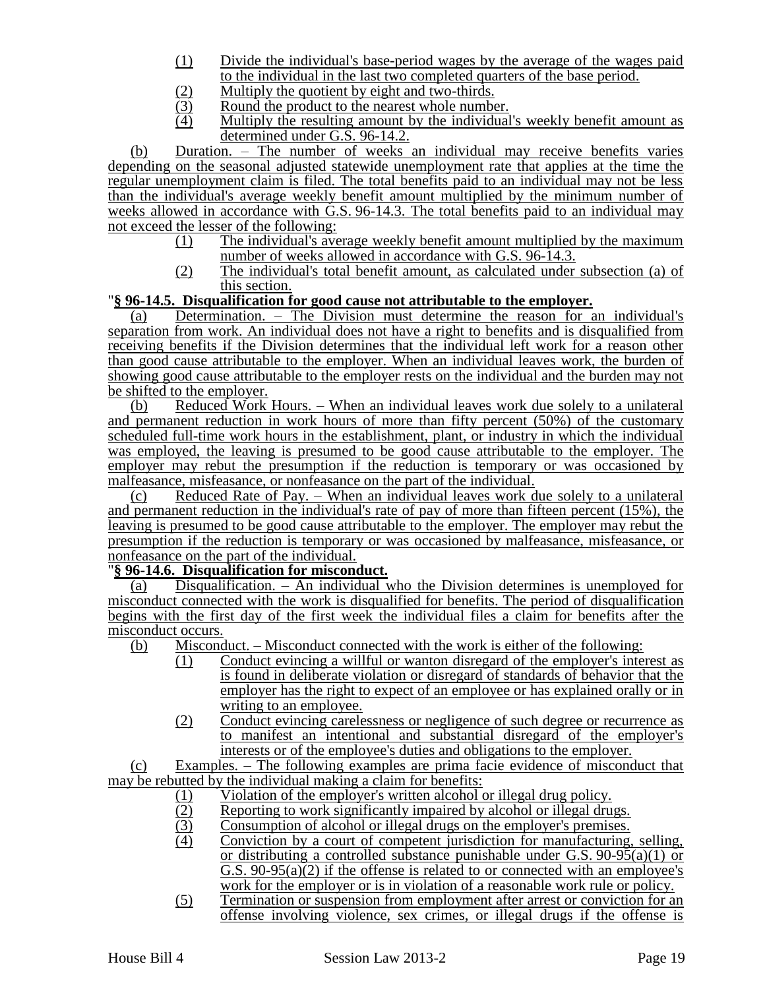- (1) Divide the individual's base-period wages by the average of the wages paid to the individual in the last two completed quarters of the base period.
- (2) Multiply the quotient by eight and two-thirds.<br>(3) Round the product to the nearest whole numbe
- $\frac{1}{2}$  Round the product to the nearest whole number.<br>  $\frac{1}{2}$  Multiply the resulting amount by the individual
- Multiply the resulting amount by the individual's weekly benefit amount as determined under G.S. 96-14.2.

(b) Duration. – The number of weeks an individual may receive benefits varies depending on the seasonal adjusted statewide unemployment rate that applies at the time the regular unemployment claim is filed. The total benefits paid to an individual may not be less than the individual's average weekly benefit amount multiplied by the minimum number of weeks allowed in accordance with G.S. 96-14.3. The total benefits paid to an individual may not exceed the lesser of the following:

- (1) The individual's average weekly benefit amount multiplied by the maximum number of weeks allowed in accordance with G.S. 96-14.3.
- (2) The individual's total benefit amount, as calculated under subsection (a) of this section.

#### "**§ 96-14.5. Disqualification for good cause not attributable to the employer.**

(a) Determination. – The Division must determine the reason for an individual's separation from work. An individual does not have a right to benefits and is disqualified from receiving benefits if the Division determines that the individual left work for a reason other than good cause attributable to the employer. When an individual leaves work, the burden of showing good cause attributable to the employer rests on the individual and the burden may not be shifted to the employer.

(b) Reduced Work Hours. – When an individual leaves work due solely to a unilateral and permanent reduction in work hours of more than fifty percent (50%) of the customary scheduled full-time work hours in the establishment, plant, or industry in which the individual was employed, the leaving is presumed to be good cause attributable to the employer. The employer may rebut the presumption if the reduction is temporary or was occasioned by malfeasance, misfeasance, or nonfeasance on the part of the individual.

(c) Reduced Rate of Pay. – When an individual leaves work due solely to a unilateral and permanent reduction in the individual's rate of pay of more than fifteen percent (15%), the leaving is presumed to be good cause attributable to the employer. The employer may rebut the presumption if the reduction is temporary or was occasioned by malfeasance, misfeasance, or nonfeasance on the part of the individual.

#### "**§ 96-14.6. Disqualification for misconduct.**

(a) Disqualification. – An individual who the Division determines is unemployed for misconduct connected with the work is disqualified for benefits. The period of disqualification begins with the first day of the first week the individual files a claim for benefits after the misconduct occurs.

- (b) Misconduct. Misconduct connected with the work is either of the following:
	- (1) Conduct evincing a willful or wanton disregard of the employer's interest as is found in deliberate violation or disregard of standards of behavior that the employer has the right to expect of an employee or has explained orally or in writing to an employee.
	- (2) Conduct evincing carelessness or negligence of such degree or recurrence as to manifest an intentional and substantial disregard of the employer's interests or of the employee's duties and obligations to the employer.

(c) Examples. – The following examples are prima facie evidence of misconduct that may be rebutted by the individual making a claim for benefits:

- (1) Violation of the employer's written alcohol or illegal drug policy.<br>(2) Reporting to work significantly impaired by alcohol or illegal dru
- (2) Reporting to work significantly impaired by alcohol or illegal drugs.<br>(3) Consumption of alcohol or illegal drugs on the employer's premises.
- Consumption of alcohol or illegal drugs on the employer's premises.
- (4) Conviction by a court of competent jurisdiction for manufacturing, selling, or distributing a controlled substance punishable under G.S.  $90-95(a)(1)$  or G.S. 90-95(a)(2) if the offense is related to or connected with an employee's work for the employer or is in violation of a reasonable work rule or policy.
- (5) Termination or suspension from employment after arrest or conviction for an offense involving violence, sex crimes, or illegal drugs if the offense is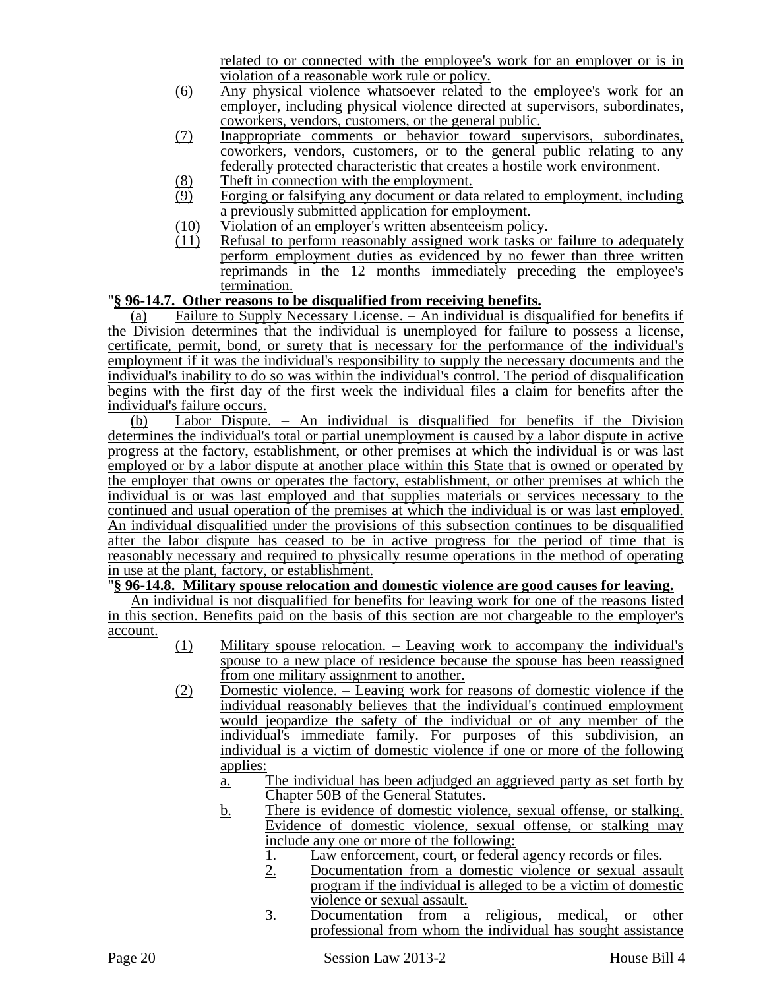related to or connected with the employee's work for an employer or is in violation of a reasonable work rule or policy.

- (6) Any physical violence whatsoever related to the employee's work for an employer, including physical violence directed at supervisors, subordinates, coworkers, vendors, customers, or the general public.
- (7) Inappropriate comments or behavior toward supervisors, subordinates, coworkers, vendors, customers, or to the general public relating to any federally protected characteristic that creates a hostile work environment.
- $\frac{8}{9}$  Theft in connection with the employment.<br>(9) Forging or falsifying any document or data
- Forging or falsifying any document or data related to employment, including a previously submitted application for employment.
- $\frac{100}{(11)}$  Violation of an employer's written absenteeism policy.<br>(11) Refusal to perform reasonably assigned work tasks on
- Refusal to perform reasonably assigned work tasks or failure to adequately perform employment duties as evidenced by no fewer than three written reprimands in the 12 months immediately preceding the employee's termination.

## "**§ 96-14.7. Other reasons to be disqualified from receiving benefits.**

(a) Failure to Supply Necessary License. – An individual is disqualified for benefits if the Division determines that the individual is unemployed for failure to possess a license, certificate, permit, bond, or surety that is necessary for the performance of the individual's employment if it was the individual's responsibility to supply the necessary documents and the individual's inability to do so was within the individual's control. The period of disqualification begins with the first day of the first week the individual files a claim for benefits after the individual's failure occurs.

(b) Labor Dispute. – An individual is disqualified for benefits if the Division determines the individual's total or partial unemployment is caused by a labor dispute in active progress at the factory, establishment, or other premises at which the individual is or was last employed or by a labor dispute at another place within this State that is owned or operated by the employer that owns or operates the factory, establishment, or other premises at which the individual is or was last employed and that supplies materials or services necessary to the continued and usual operation of the premises at which the individual is or was last employed. An individual disqualified under the provisions of this subsection continues to be disqualified after the labor dispute has ceased to be in active progress for the period of time that is reasonably necessary and required to physically resume operations in the method of operating in use at the plant, factory, or establishment.

## "**§ 96-14.8. Military spouse relocation and domestic violence are good causes for leaving.**

An individual is not disqualified for benefits for leaving work for one of the reasons listed in this section. Benefits paid on the basis of this section are not chargeable to the employer's account.

- (1) Military spouse relocation. Leaving work to accompany the individual's spouse to a new place of residence because the spouse has been reassigned from one military assignment to another.
- (2) Domestic violence. Leaving work for reasons of domestic violence if the individual reasonably believes that the individual's continued employment would jeopardize the safety of the individual or of any member of the individual's immediate family. For purposes of this subdivision, an individual is a victim of domestic violence if one or more of the following applies:
	- a. The individual has been adjudged an aggrieved party as set forth by Chapter 50B of the General Statutes.
	- b. There is evidence of domestic violence, sexual offense, or stalking. Evidence of domestic violence, sexual offense, or stalking may include any one or more of the following:
		- 1. Law enforcement, court, or federal agency records or files.
		- 2. Documentation from a domestic violence or sexual assault program if the individual is alleged to be a victim of domestic violence or sexual assault.
		- 3. Documentation from a religious, medical, or other professional from whom the individual has sought assistance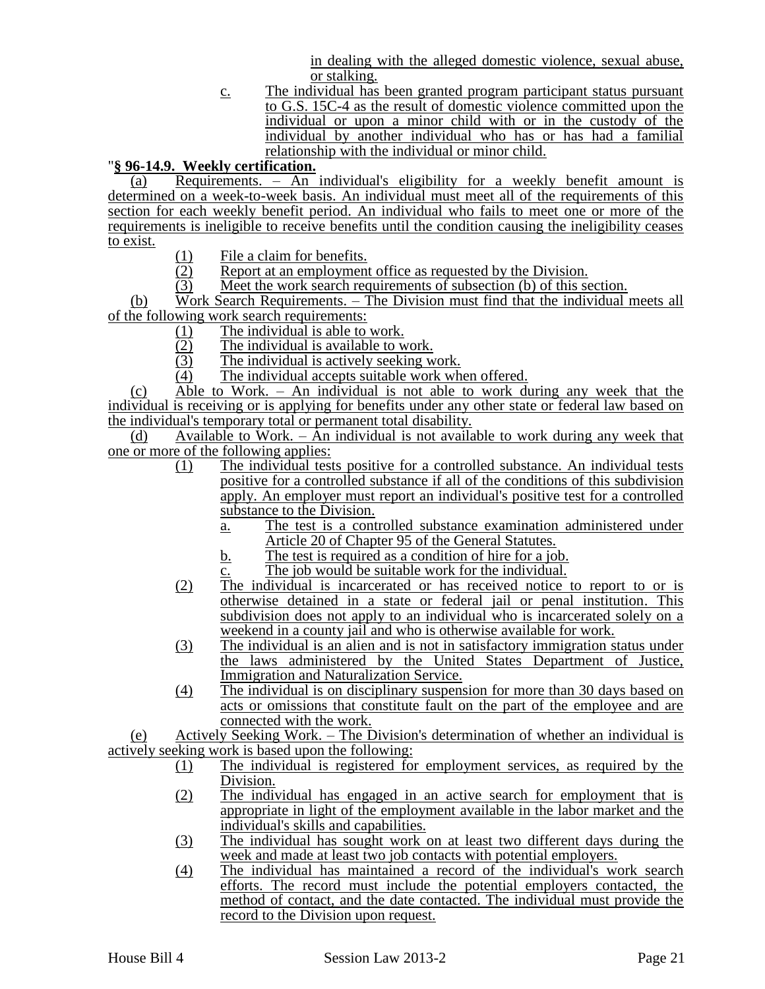in dealing with the alleged domestic violence, sexual abuse, or stalking.

c. The individual has been granted program participant status pursuant to G.S. 15C-4 as the result of domestic violence committed upon the individual or upon a minor child with or in the custody of the individual by another individual who has or has had a familial relationship with the individual or minor child.

## "**§ 96-14.9. Weekly certification.**

(a) Requirements.  $-\overline{An}$  individual's eligibility for a weekly benefit amount is determined on a week-to-week basis. An individual must meet all of the requirements of this section for each weekly benefit period. An individual who fails to meet one or more of the requirements is ineligible to receive benefits until the condition causing the ineligibility ceases to exist.

- 
- (1) File a claim for benefits.<br>(2) Report at an employment  $\frac{1}{2}$  Report at an employment office as requested by the Division.<br>  $\frac{1}{2}$  Meet the work search requirements of subsection (b) of this se
- Meet the work search requirements of subsection (b) of this section.

(b) Work Search Requirements. – The Division must find that the individual meets all of the following work search requirements:

- $\frac{(1)}{(2)}$  The individual is able to work.<br>The individual is available to w
- $\frac{1}{2}$  The individual is available to work.<br>The individual is actively seeking w
- The individual is actively seeking work.
- (4) The individual accepts suitable work when offered.

(c) Able to Work. – An individual is not able to work during any week that the individual is receiving or is applying for benefits under any other state or federal law based on the individual's temporary total or permanent total disability.

(d) Available to Work. – An individual is not available to work during any week that one or more of the following applies:

- (1) The individual tests positive for a controlled substance. An individual tests positive for a controlled substance if all of the conditions of this subdivision apply. An employer must report an individual's positive test for a controlled substance to the Division.
	- a. The test is a controlled substance examination administered under Article 20 of Chapter 95 of the General Statutes.
	- b. The test is required as a condition of hire for a job.
	- c. The job would be suitable work for the individual.
- (2) The individual is incarcerated or has received notice to report to or is otherwise detained in a state or federal jail or penal institution. This subdivision does not apply to an individual who is incarcerated solely on a weekend in a county jail and who is otherwise available for work.
- (3) The individual is an alien and is not in satisfactory immigration status under the laws administered by the United States Department of Justice, Immigration and Naturalization Service.
- (4) The individual is on disciplinary suspension for more than 30 days based on acts or omissions that constitute fault on the part of the employee and are connected with the work.

(e) Actively Seeking Work. – The Division's determination of whether an individual is actively seeking work is based upon the following:

- (1) The individual is registered for employment services, as required by the Division.
- (2) The individual has engaged in an active search for employment that is appropriate in light of the employment available in the labor market and the individual's skills and capabilities.
- (3) The individual has sought work on at least two different days during the week and made at least two job contacts with potential employers.
- (4) The individual has maintained a record of the individual's work search efforts. The record must include the potential employers contacted, the method of contact, and the date contacted. The individual must provide the record to the Division upon request.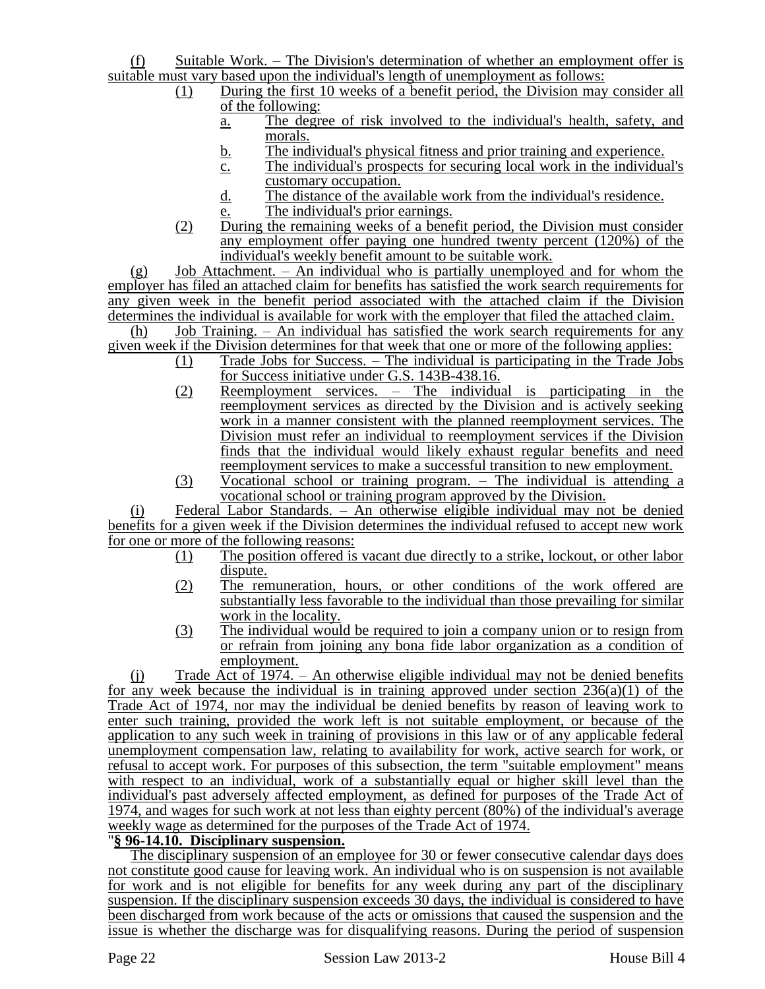(f) Suitable Work. – The Division's determination of whether an employment offer is suitable must vary based upon the individual's length of unemployment as follows:

- (1) During the first 10 weeks of a benefit period, the Division may consider all of the following:
	- a. The degree of risk involved to the individual's health, safety, and morals.
	- b. The individual's physical fitness and prior training and experience.
	- $\overline{c}$ . The individual's prospects for securing local work in the individual's customary occupation.
	- d. The distance of the available work from the individual's residence.
- e. The individual's prior earnings. (2) During the remaining weeks of a benefit period, the Division must consider
	- any employment offer paying one hundred twenty percent (120%) of the individual's weekly benefit amount to be suitable work.

 $(g)$  Job Attachment. – An individual who is partially unemployed and for whom the employer has filed an attached claim for benefits has satisfied the work search requirements for any given week in the benefit period associated with the attached claim if the Division determines the individual is available for work with the employer that filed the attached claim.

(h) Job Training. – An individual has satisfied the work search requirements for any given week if the Division determines for that week that one or more of the following applies:

- (1) Trade Jobs for Success. The individual is participating in the Trade Jobs for Success initiative under G.S. 143B-438.16.
- (2) Reemployment services. The individual is participating in the reemployment services as directed by the Division and is actively seeking work in a manner consistent with the planned reemployment services. The Division must refer an individual to reemployment services if the Division finds that the individual would likely exhaust regular benefits and need reemployment services to make a successful transition to new employment.
- (3) Vocational school or training program. The individual is attending a vocational school or training program approved by the Division.

(i) Federal Labor Standards. – An otherwise eligible individual may not be denied benefits for a given week if the Division determines the individual refused to accept new work for one or more of the following reasons:<br>(1) The position offered is

- The position offered is vacant due directly to a strike, lockout, or other labor dispute.
- (2) The remuneration, hours, or other conditions of the work offered are substantially less favorable to the individual than those prevailing for similar work in the locality.
- (3) The individual would be required to join a company union or to resign from or refrain from joining any bona fide labor organization as a condition of employment.

(j) Trade Act of 1974. – An otherwise eligible individual may not be denied benefits for any week because the individual is in training approved under section  $236(a)(1)$  of the Trade Act of 1974, nor may the individual be denied benefits by reason of leaving work to enter such training, provided the work left is not suitable employment, or because of the application to any such week in training of provisions in this law or of any applicable federal unemployment compensation law, relating to availability for work, active search for work, or refusal to accept work. For purposes of this subsection, the term "suitable employment" means with respect to an individual, work of a substantially equal or higher skill level than the individual's past adversely affected employment, as defined for purposes of the Trade Act of 1974, and wages for such work at not less than eighty percent (80%) of the individual's average weekly wage as determined for the purposes of the Trade Act of 1974.

## "**§ 96-14.10. Disciplinary suspension.**

The disciplinary suspension of an employee for 30 or fewer consecutive calendar days does not constitute good cause for leaving work. An individual who is on suspension is not available for work and is not eligible for benefits for any week during any part of the disciplinary suspension. If the disciplinary suspension exceeds 30 days, the individual is considered to have been discharged from work because of the acts or omissions that caused the suspension and the issue is whether the discharge was for disqualifying reasons. During the period of suspension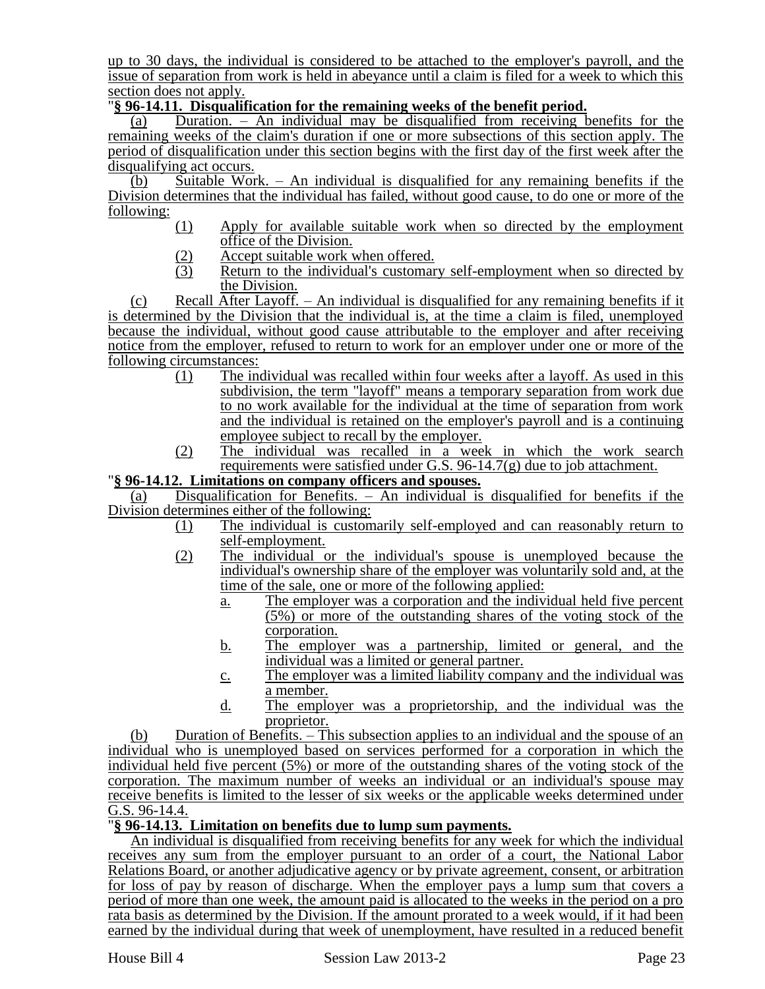up to 30 days, the individual is considered to be attached to the employer's payroll, and the issue of separation from work is held in abeyance until a claim is filed for a week to which this section does not apply.

## "**§ 96-14.11. Disqualification for the remaining weeks of the benefit period.**

(a) Duration. – An individual may be disqualified from receiving benefits for the remaining weeks of the claim's duration if one or more subsections of this section apply. The period of disqualification under this section begins with the first day of the first week after the disqualifying act occurs.

 $(b)$  Suitable Work. – An individual is disqualified for any remaining benefits if the Division determines that the individual has failed, without good cause, to do one or more of the following:

- (1) Apply for available suitable work when so directed by the employment office of the Division.
	-
- $\frac{(2)}{(3)}$  Accept suitable work when offered.<br>Return to the individual's customan Return to the individual's customary self-employment when so directed by the Division.

(c) Recall After Layoff. – An individual is disqualified for any remaining benefits if it is determined by the Division that the individual is, at the time a claim is filed, unemployed because the individual, without good cause attributable to the employer and after receiving notice from the employer, refused to return to work for an employer under one or more of the following circumstances:

- (1) The individual was recalled within four weeks after a layoff. As used in this subdivision, the term "layoff" means a temporary separation from work due to no work available for the individual at the time of separation from work and the individual is retained on the employer's payroll and is a continuing employee subject to recall by the employer.
- (2) The individual was recalled in a week in which the work search requirements were satisfied under G.S. 96-14.7(g) due to job attachment.

### "**§ 96-14.12. Limitations on company officers and spouses.**

(a) Disqualification for Benefits. – An individual is disqualified for benefits if the Division determines either of the following:

- (1) The individual is customarily self-employed and can reasonably return to self-employment.
- (2) The individual or the individual's spouse is unemployed because the individual's ownership share of the employer was voluntarily sold and, at the time of the sale, one or more of the following applied:
	- a. The employer was a corporation and the individual held five percent (5%) or more of the outstanding shares of the voting stock of the corporation.
	- b. The employer was a partnership, limited or general, and the individual was a limited or general partner.
	- c. The employer was a limited liability company and the individual was a member.
	- d. The employer was a proprietorship, and the individual was the proprietor.

(b) Duration of Benefits. – This subsection applies to an individual and the spouse of an individual who is unemployed based on services performed for a corporation in which the individual held five percent (5%) or more of the outstanding shares of the voting stock of the corporation. The maximum number of weeks an individual or an individual's spouse may receive benefits is limited to the lesser of six weeks or the applicable weeks determined under G.S. 96-14.4.

## "**§ 96-14.13. Limitation on benefits due to lump sum payments.**

An individual is disqualified from receiving benefits for any week for which the individual receives any sum from the employer pursuant to an order of a court, the National Labor Relations Board, or another adjudicative agency or by private agreement, consent, or arbitration for loss of pay by reason of discharge. When the employer pays a lump sum that covers a period of more than one week, the amount paid is allocated to the weeks in the period on a pro rata basis as determined by the Division. If the amount prorated to a week would, if it had been earned by the individual during that week of unemployment, have resulted in a reduced benefit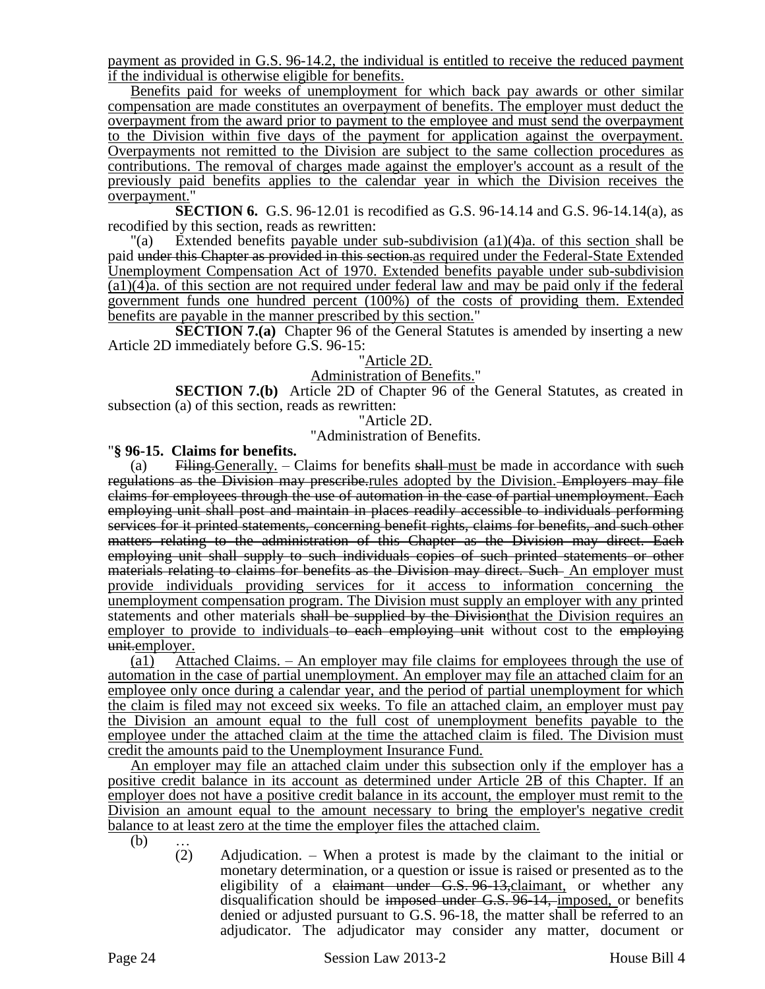payment as provided in G.S. 96-14.2, the individual is entitled to receive the reduced payment if the individual is otherwise eligible for benefits.

Benefits paid for weeks of unemployment for which back pay awards or other similar compensation are made constitutes an overpayment of benefits. The employer must deduct the overpayment from the award prior to payment to the employee and must send the overpayment to the Division within five days of the payment for application against the overpayment. Overpayments not remitted to the Division are subject to the same collection procedures as contributions. The removal of charges made against the employer's account as a result of the previously paid benefits applies to the calendar year in which the Division receives the overpayment."

**SECTION 6.** G.S. 96-12.01 is recodified as G.S. 96-14.14 and G.S. 96-14.14(a), as recodified by this section, reads as rewritten:

"(a) Extended benefits payable under sub-subdivision (a1)(4)a. of this section shall be paid under this Chapter as provided in this section.as required under the Federal-State Extended Unemployment Compensation Act of 1970. Extended benefits payable under sub-subdivision (a1)(4)a. of this section are not required under federal law and may be paid only if the federal government funds one hundred percent (100%) of the costs of providing them. Extended benefits are payable in the manner prescribed by this section."

**SECTION 7.(a)** Chapter 96 of the General Statutes is amended by inserting a new Article 2D immediately before G.S. 96-15:

"Article 2D.

#### Administration of Benefits."

**SECTION 7.(b)** Article 2D of Chapter 96 of the General Statutes, as created in subsection (a) of this section, reads as rewritten:

"Article 2D.

"Administration of Benefits.

#### "**§ 96-15. Claims for benefits.**

(a) Filing. Generally.  $-$  Claims for benefits shall must be made in accordance with such regulations as the Division may prescribe rules adopted by the Division. Employers may file claims for employees through the use of automation in the case of partial unemployment. Each employing unit shall post and maintain in places readily accessible to individuals performing services for it printed statements, concerning benefit rights, claims for benefits, and such other matters relating to the administration of this Chapter as the Division may direct. Each employing unit shall supply to such individuals copies of such printed statements or other materials relating to claims for benefits as the Division may direct. Such An employer must provide individuals providing services for it access to information concerning the unemployment compensation program. The Division must supply an employer with any printed statements and other materials shall be supplied by the Divisionthat the Division requires an employer to provide to individuals to each employing unit without cost to the employing unit.employer.

(a1) Attached Claims. – An employer may file claims for employees through the use of automation in the case of partial unemployment. An employer may file an attached claim for an employee only once during a calendar year, and the period of partial unemployment for which the claim is filed may not exceed six weeks. To file an attached claim, an employer must pay the Division an amount equal to the full cost of unemployment benefits payable to the employee under the attached claim at the time the attached claim is filed. The Division must credit the amounts paid to the Unemployment Insurance Fund.

An employer may file an attached claim under this subsection only if the employer has a positive credit balance in its account as determined under Article 2B of this Chapter. If an employer does not have a positive credit balance in its account, the employer must remit to the Division an amount equal to the amount necessary to bring the employer's negative credit balance to at least zero at the time the employer files the attached claim.

(b) … (2)

Adjudication. – When a protest is made by the claimant to the initial or monetary determination, or a question or issue is raised or presented as to the eligibility of a claimant under G.S. 96-13, claimant, or whether any disqualification should be imposed under G.S. 96-14, imposed, or benefits denied or adjusted pursuant to G.S. 96-18, the matter shall be referred to an adjudicator. The adjudicator may consider any matter, document or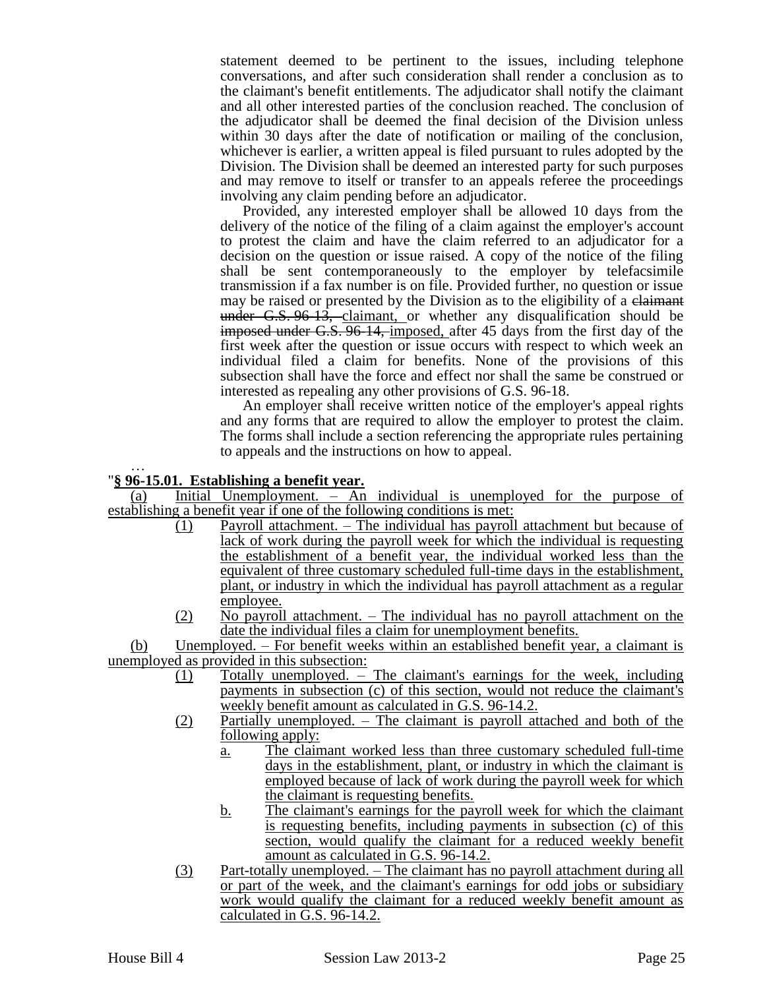statement deemed to be pertinent to the issues, including telephone conversations, and after such consideration shall render a conclusion as to the claimant's benefit entitlements. The adjudicator shall notify the claimant and all other interested parties of the conclusion reached. The conclusion of the adjudicator shall be deemed the final decision of the Division unless within 30 days after the date of notification or mailing of the conclusion, whichever is earlier, a written appeal is filed pursuant to rules adopted by the Division. The Division shall be deemed an interested party for such purposes and may remove to itself or transfer to an appeals referee the proceedings involving any claim pending before an adjudicator.

Provided, any interested employer shall be allowed 10 days from the delivery of the notice of the filing of a claim against the employer's account to protest the claim and have the claim referred to an adjudicator for a decision on the question or issue raised. A copy of the notice of the filing shall be sent contemporaneously to the employer by telefacsimile transmission if a fax number is on file. Provided further, no question or issue may be raised or presented by the Division as to the eligibility of a claimant under G.S. 96-13, claimant, or whether any disqualification should be imposed under G.S. 96-14, imposed, after 45 days from the first day of the first week after the question or issue occurs with respect to which week an individual filed a claim for benefits. None of the provisions of this subsection shall have the force and effect nor shall the same be construed or interested as repealing any other provisions of G.S. 96-18.

An employer shall receive written notice of the employer's appeal rights and any forms that are required to allow the employer to protest the claim. The forms shall include a section referencing the appropriate rules pertaining to appeals and the instructions on how to appeal.

#### … "**§ 96-15.01. Establishing a benefit year.**

(a) Initial Unemployment. – An individual is unemployed for the purpose of establishing a benefit year if one of the following conditions is met:

- (1) Payroll attachment. The individual has payroll attachment but because of lack of work during the payroll week for which the individual is requesting the establishment of a benefit year, the individual worked less than the equivalent of three customary scheduled full-time days in the establishment, plant, or industry in which the individual has payroll attachment as a regular employee.
- (2) No payroll attachment. The individual has no payroll attachment on the date the individual files a claim for unemployment benefits.

(b) Unemployed. – For benefit weeks within an established benefit year, a claimant is unemployed as provided in this subsection:

- (1) Totally unemployed. The claimant's earnings for the week, including payments in subsection (c) of this section, would not reduce the claimant's weekly benefit amount as calculated in G.S. 96-14.2.
- (2) Partially unemployed. The claimant is payroll attached and both of the following apply:
	- a. The claimant worked less than three customary scheduled full-time days in the establishment, plant, or industry in which the claimant is employed because of lack of work during the payroll week for which the claimant is requesting benefits.
	- b. The claimant's earnings for the payroll week for which the claimant is requesting benefits, including payments in subsection (c) of this section, would qualify the claimant for a reduced weekly benefit amount as calculated in G.S. 96-14.2.
- (3) Part-totally unemployed. The claimant has no payroll attachment during all or part of the week, and the claimant's earnings for odd jobs or subsidiary work would qualify the claimant for a reduced weekly benefit amount as calculated in G.S. 96-14.2.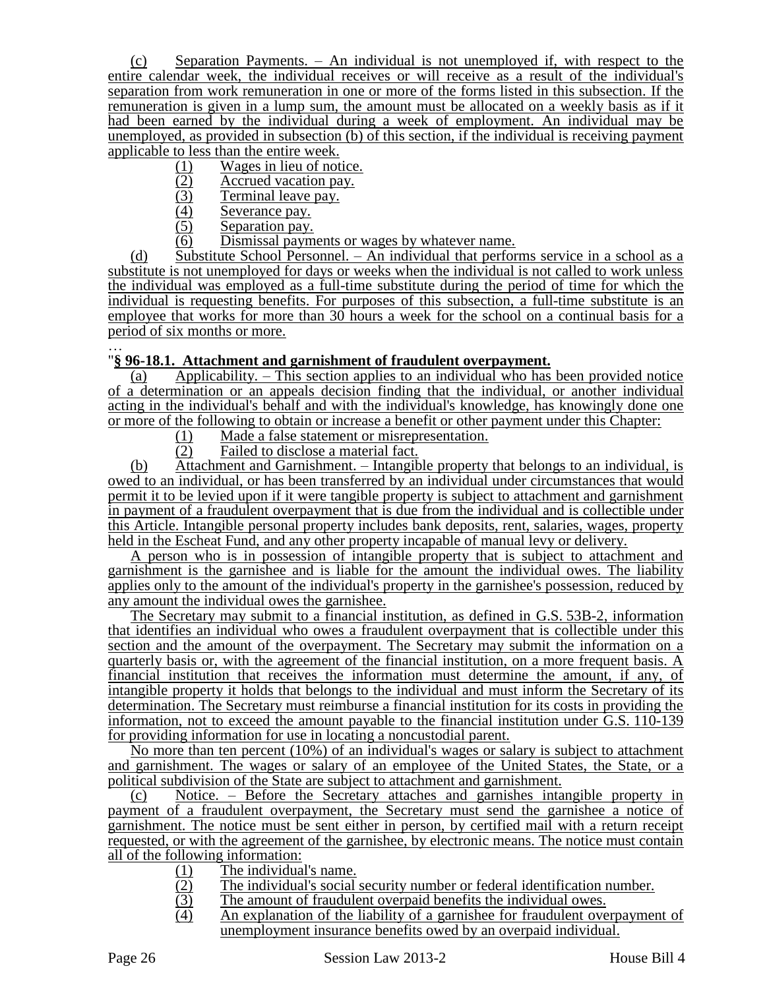(c) Separation Payments. – An individual is not unemployed if, with respect to the entire calendar week, the individual receives or will receive as a result of the individual's separation from work remuneration in one or more of the forms listed in this subsection. If the remuneration is given in a lump sum, the amount must be allocated on a weekly basis as if it had been earned by the individual during a week of employment. An individual may be unemployed, as provided in subsection (b) of this section, if the individual is receiving payment applicable to less than the entire week.

- (1) Wages in lieu of notice.<br>
(2) Accrued vacation pay.<br>
(3) Terminal leave pay.
- Accrued vacation pay.
- (3) Terminal leave pay.<br>(4) Severance pay.
- $\frac{(4)}{(5)}$  Severance pay.<br>Separation pay.
- Separation pay.
- (6) Dismissal payments or wages by whatever name.

(d) Substitute School Personnel. – An individual that performs service in a school as a substitute is not unemployed for days or weeks when the individual is not called to work unless the individual was employed as a full-time substitute during the period of time for which the individual is requesting benefits. For purposes of this subsection, a full-time substitute is an employee that works for more than 30 hours a week for the school on a continual basis for a period of six months or more.

#### … "**§ 96-18.1. Attachment and garnishment of fraudulent overpayment.**

(a) Applicability. – This section applies to an individual who has been provided notice of a determination or an appeals decision finding that the individual, or another individual acting in the individual's behalf and with the individual's knowledge, has knowingly done one or more of the following to obtain or increase a benefit or other payment under this Chapter:

- $\frac{(1)}{(2)}$  Made a false statement or misrepresentation.<br>Failed to disclose a material fact.
- Failed to disclose a material fact.

(b) Attachment and Garnishment. – Intangible property that belongs to an individual, is owed to an individual, or has been transferred by an individual under circumstances that would permit it to be levied upon if it were tangible property is subject to attachment and garnishment in payment of a fraudulent overpayment that is due from the individual and is collectible under this Article. Intangible personal property includes bank deposits, rent, salaries, wages, property held in the Escheat Fund, and any other property incapable of manual levy or delivery.

A person who is in possession of intangible property that is subject to attachment and garnishment is the garnishee and is liable for the amount the individual owes. The liability applies only to the amount of the individual's property in the garnishee's possession, reduced by any amount the individual owes the garnishee.

The Secretary may submit to a financial institution, as defined in G.S. 53B-2, information that identifies an individual who owes a fraudulent overpayment that is collectible under this section and the amount of the overpayment. The Secretary may submit the information on a quarterly basis or, with the agreement of the financial institution, on a more frequent basis. A financial institution that receives the information must determine the amount, if any, of intangible property it holds that belongs to the individual and must inform the Secretary of its determination. The Secretary must reimburse a financial institution for its costs in providing the information, not to exceed the amount payable to the financial institution under G.S. 110-139 for providing information for use in locating a noncustodial parent.

No more than ten percent (10%) of an individual's wages or salary is subject to attachment and garnishment. The wages or salary of an employee of the United States, the State, or a political subdivision of the State are subject to attachment and garnishment.

(c) Notice. – Before the Secretary attaches and garnishes intangible property in payment of a fraudulent overpayment, the Secretary must send the garnishee a notice of garnishment. The notice must be sent either in person, by certified mail with a return receipt requested, or with the agreement of the garnishee, by electronic means. The notice must contain all of the following information:

- (1) The individual's name.
- (2) The individual's social security number or federal identification number.
- (3) The amount of fraudulent overpaid benefits the individual owes.
- (4) An explanation of the liability of a garnishee for fraudulent overpayment of unemployment insurance benefits owed by an overpaid individual.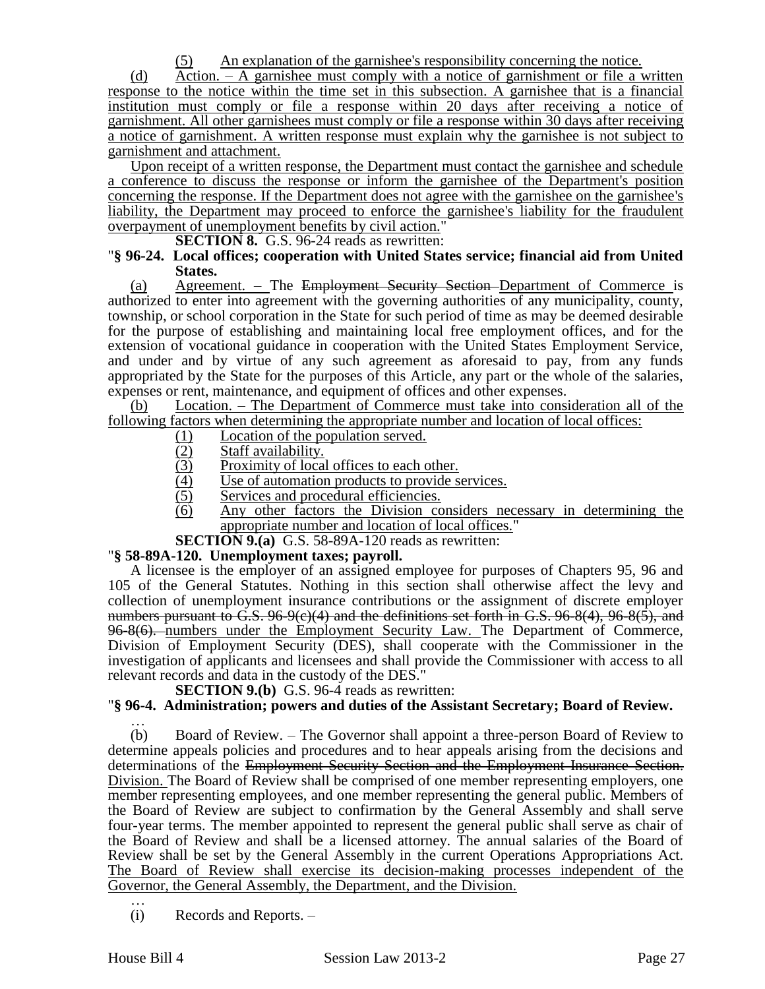(5) An explanation of the garnishee's responsibility concerning the notice.

(d) Action. – A garnishee must comply with a notice of garnishment or file a written response to the notice within the time set in this subsection. A garnishee that is a financial institution must comply or file a response within 20 days after receiving a notice of garnishment. All other garnishees must comply or file a response within 30 days after receiving a notice of garnishment. A written response must explain why the garnishee is not subject to garnishment and attachment.

Upon receipt of a written response, the Department must contact the garnishee and schedule a conference to discuss the response or inform the garnishee of the Department's position concerning the response. If the Department does not agree with the garnishee on the garnishee's liability, the Department may proceed to enforce the garnishee's liability for the fraudulent overpayment of unemployment benefits by civil action."

#### **SECTION 8.** G.S. 96-24 reads as rewritten:

#### "**§ 96-24. Local offices; cooperation with United States service; financial aid from United States.**

(a) Agreement. – The Employment Security Section Department of Commerce is authorized to enter into agreement with the governing authorities of any municipality, county, township, or school corporation in the State for such period of time as may be deemed desirable for the purpose of establishing and maintaining local free employment offices, and for the extension of vocational guidance in cooperation with the United States Employment Service, and under and by virtue of any such agreement as aforesaid to pay, from any funds appropriated by the State for the purposes of this Article, any part or the whole of the salaries, expenses or rent, maintenance, and equipment of offices and other expenses.

(b) Location. – The Department of Commerce must take into consideration all of the following factors when determining the appropriate number and location of local offices:

- 
- Staff availability.
- (1) Location of the population served.<br>  $\frac{(2)}{(3)}$  Example State State State State State State State State State State State State State State State State State State State State State State State State State State State
- (3) Proximity of local offices to each other.<br>(4) Use of automation products to provide s (4) Use of automation products to provide services.<br>(5) Services and procedural efficiencies.
- Services and procedural efficiencies.
- (6) Any other factors the Division considers necessary in determining the appropriate number and location of local offices."
- **SECTION 9.(a)** G.S. 58-89A-120 reads as rewritten:

#### "**§ 58-89A-120. Unemployment taxes; payroll.**

A licensee is the employer of an assigned employee for purposes of Chapters 95, 96 and 105 of the General Statutes. Nothing in this section shall otherwise affect the levy and collection of unemployment insurance contributions or the assignment of discrete employer numbers pursuant to G.S. 96-9(e)(4) and the definitions set forth in G.S. 96-8(4), 96-8(5), and 96-8(6). numbers under the Employment Security Law. The Department of Commerce, Division of Employment Security (DES), shall cooperate with the Commissioner in the investigation of applicants and licensees and shall provide the Commissioner with access to all relevant records and data in the custody of the DES."

**SECTION 9.(b)** G.S. 96-4 reads as rewritten:

## "**§ 96-4. Administration; powers and duties of the Assistant Secretary; Board of Review.**

… (b) Board of Review. – The Governor shall appoint a three-person Board of Review to determine appeals policies and procedures and to hear appeals arising from the decisions and determinations of the Employment Security Section and the Employment Insurance Section. Division. The Board of Review shall be comprised of one member representing employers, one member representing employees, and one member representing the general public. Members of the Board of Review are subject to confirmation by the General Assembly and shall serve four-year terms. The member appointed to represent the general public shall serve as chair of the Board of Review and shall be a licensed attorney. The annual salaries of the Board of Review shall be set by the General Assembly in the current Operations Appropriations Act. The Board of Review shall exercise its decision-making processes independent of the Governor, the General Assembly, the Department, and the Division. …

(i) Records and Reports. –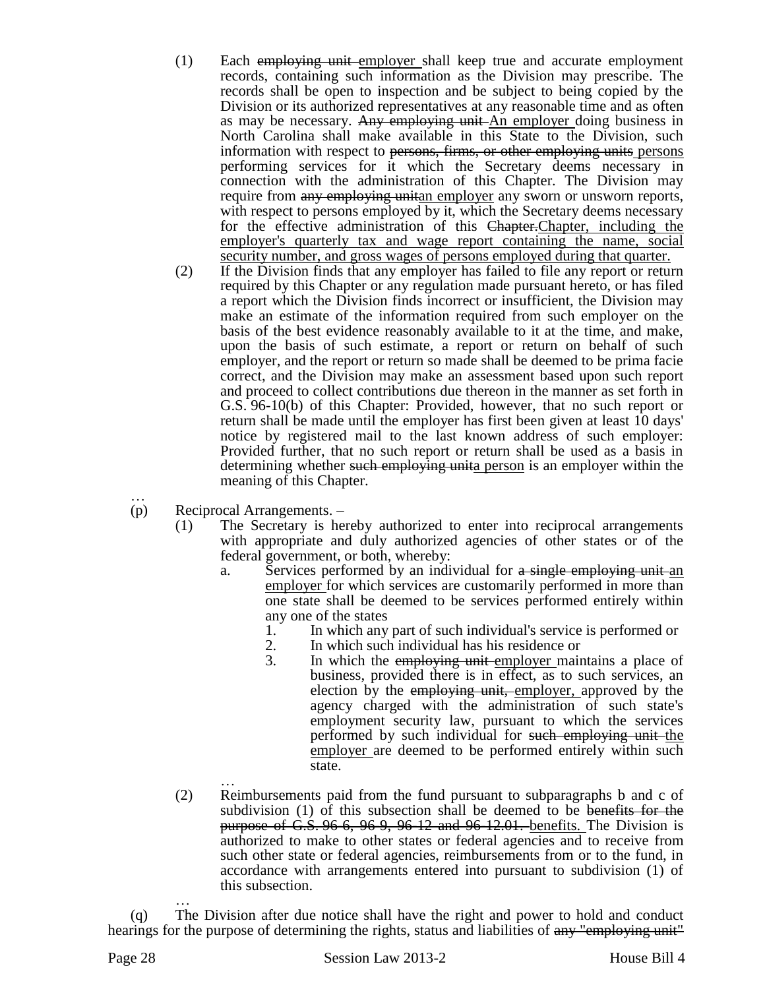- (1) Each employing unit employer shall keep true and accurate employment records, containing such information as the Division may prescribe. The records shall be open to inspection and be subject to being copied by the Division or its authorized representatives at any reasonable time and as often as may be necessary. Any employing unit An employer doing business in North Carolina shall make available in this State to the Division, such information with respect to persons, firms, or other employing units persons performing services for it which the Secretary deems necessary in connection with the administration of this Chapter. The Division may require from any employing unitan employer any sworn or unsworn reports, with respect to persons employed by it, which the Secretary deems necessary for the effective administration of this Chapter.Chapter, including the employer's quarterly tax and wage report containing the name, social security number, and gross wages of persons employed during that quarter.
- (2) If the Division finds that any employer has failed to file any report or return required by this Chapter or any regulation made pursuant hereto, or has filed a report which the Division finds incorrect or insufficient, the Division may make an estimate of the information required from such employer on the basis of the best evidence reasonably available to it at the time, and make, upon the basis of such estimate, a report or return on behalf of such employer, and the report or return so made shall be deemed to be prima facie correct, and the Division may make an assessment based upon such report and proceed to collect contributions due thereon in the manner as set forth in G.S. 96-10(b) of this Chapter: Provided, however, that no such report or return shall be made until the employer has first been given at least 10 days' notice by registered mail to the last known address of such employer: Provided further, that no such report or return shall be used as a basis in determining whether such employing unita person is an employer within the meaning of this Chapter.
- … (p) Reciprocal Arrangements. –
	- (1) The Secretary is hereby authorized to enter into reciprocal arrangements with appropriate and duly authorized agencies of other states or of the federal government, or both, whereby:
		- a. Services performed by an individual for a single employing unit an employer for which services are customarily performed in more than one state shall be deemed to be services performed entirely within any one of the states
			- 1. In which any part of such individual's service is performed or
			- 2. In which such individual has his residence or<br>3. In which the employing unit employer main
			- In which the employing unit employer maintains a place of business, provided there is in effect, as to such services, an election by the employing unit, employer, approved by the agency charged with the administration of such state's employment security law, pursuant to which the services performed by such individual for such employing unit the employer are deemed to be performed entirely within such state.
	- … (2) Reimbursements paid from the fund pursuant to subparagraphs b and c of subdivision (1) of this subsection shall be deemed to be benefits for the **purpose of G.S. 96-6, 96-9, 96-12 and 96-12.01.** benefits. The Division is authorized to make to other states or federal agencies and to receive from such other state or federal agencies, reimbursements from or to the fund, in accordance with arrangements entered into pursuant to subdivision (1) of this subsection.

… (q) The Division after due notice shall have the right and power to hold and conduct hearings for the purpose of determining the rights, status and liabilities of any "employing unit"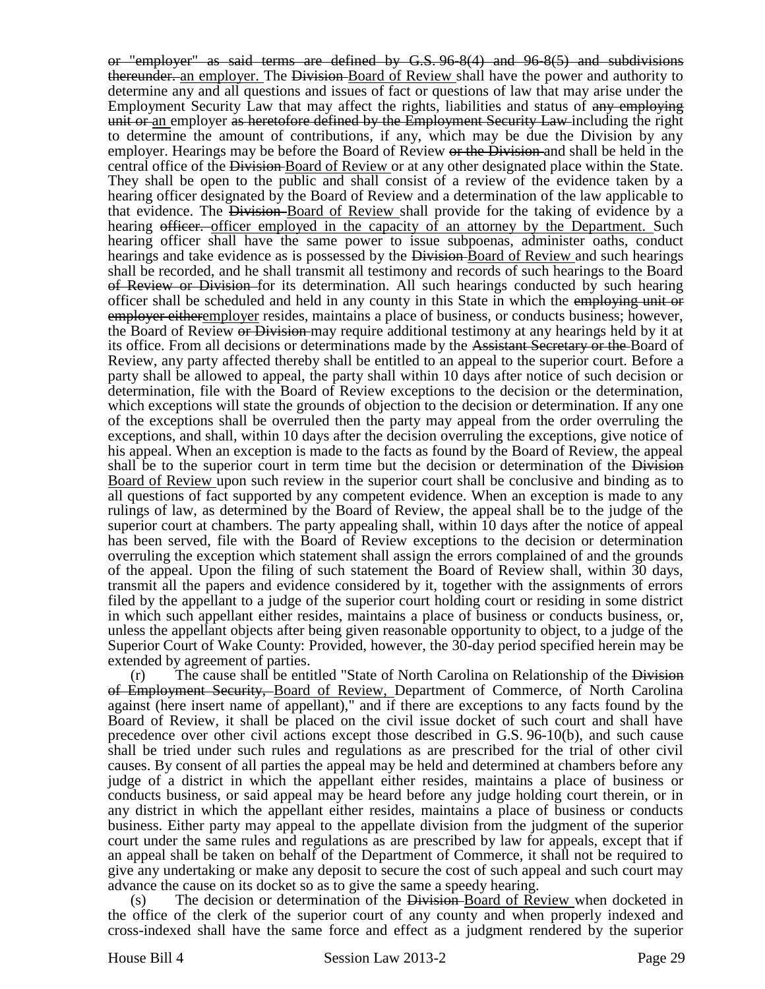or "employer" as said terms are defined by G.S. 96-8(4) and 96-8(5) and subdivisions thereunder. an employer. The Division Board of Review shall have the power and authority to determine any and all questions and issues of fact or questions of law that may arise under the Employment Security Law that may affect the rights, liabilities and status of any employing unit or an employer as heretofore defined by the Employment Security Law including the right to determine the amount of contributions, if any, which may be due the Division by any employer. Hearings may be before the Board of Review or the Division and shall be held in the central office of the Division Board of Review or at any other designated place within the State. They shall be open to the public and shall consist of a review of the evidence taken by a hearing officer designated by the Board of Review and a determination of the law applicable to that evidence. The Division-Board of Review shall provide for the taking of evidence by a hearing officer. officer employed in the capacity of an attorney by the Department. Such hearing officer shall have the same power to issue subpoenas, administer oaths, conduct hearings and take evidence as is possessed by the Division Board of Review and such hearings shall be recorded, and he shall transmit all testimony and records of such hearings to the Board of Review or Division for its determination. All such hearings conducted by such hearing officer shall be scheduled and held in any county in this State in which the employing unit or employer eitheremployer resides, maintains a place of business, or conducts business; however, the Board of Review or Division may require additional testimony at any hearings held by it at its office. From all decisions or determinations made by the Assistant Secretary or the Board of Review, any party affected thereby shall be entitled to an appeal to the superior court. Before a party shall be allowed to appeal, the party shall within 10 days after notice of such decision or determination, file with the Board of Review exceptions to the decision or the determination, which exceptions will state the grounds of objection to the decision or determination. If any one of the exceptions shall be overruled then the party may appeal from the order overruling the exceptions, and shall, within 10 days after the decision overruling the exceptions, give notice of his appeal. When an exception is made to the facts as found by the Board of Review, the appeal shall be to the superior court in term time but the decision or determination of the Division Board of Review upon such review in the superior court shall be conclusive and binding as to all questions of fact supported by any competent evidence. When an exception is made to any rulings of law, as determined by the Board of Review, the appeal shall be to the judge of the superior court at chambers. The party appealing shall, within 10 days after the notice of appeal has been served, file with the Board of Review exceptions to the decision or determination overruling the exception which statement shall assign the errors complained of and the grounds of the appeal. Upon the filing of such statement the Board of Review shall, within 30 days, transmit all the papers and evidence considered by it, together with the assignments of errors filed by the appellant to a judge of the superior court holding court or residing in some district in which such appellant either resides, maintains a place of business or conducts business, or, unless the appellant objects after being given reasonable opportunity to object, to a judge of the Superior Court of Wake County: Provided, however, the 30-day period specified herein may be extended by agreement of parties.

(r) The cause shall be entitled "State of North Carolina on Relationship of the Division of Employment Security, Board of Review, Department of Commerce, of North Carolina against (here insert name of appellant)," and if there are exceptions to any facts found by the Board of Review, it shall be placed on the civil issue docket of such court and shall have precedence over other civil actions except those described in G.S. 96-10(b), and such cause shall be tried under such rules and regulations as are prescribed for the trial of other civil causes. By consent of all parties the appeal may be held and determined at chambers before any judge of a district in which the appellant either resides, maintains a place of business or conducts business, or said appeal may be heard before any judge holding court therein, or in any district in which the appellant either resides, maintains a place of business or conducts business. Either party may appeal to the appellate division from the judgment of the superior court under the same rules and regulations as are prescribed by law for appeals, except that if an appeal shall be taken on behalf of the Department of Commerce, it shall not be required to give any undertaking or make any deposit to secure the cost of such appeal and such court may advance the cause on its docket so as to give the same a speedy hearing.

(s) The decision or determination of the Division-Board of Review when docketed in the office of the clerk of the superior court of any county and when properly indexed and cross-indexed shall have the same force and effect as a judgment rendered by the superior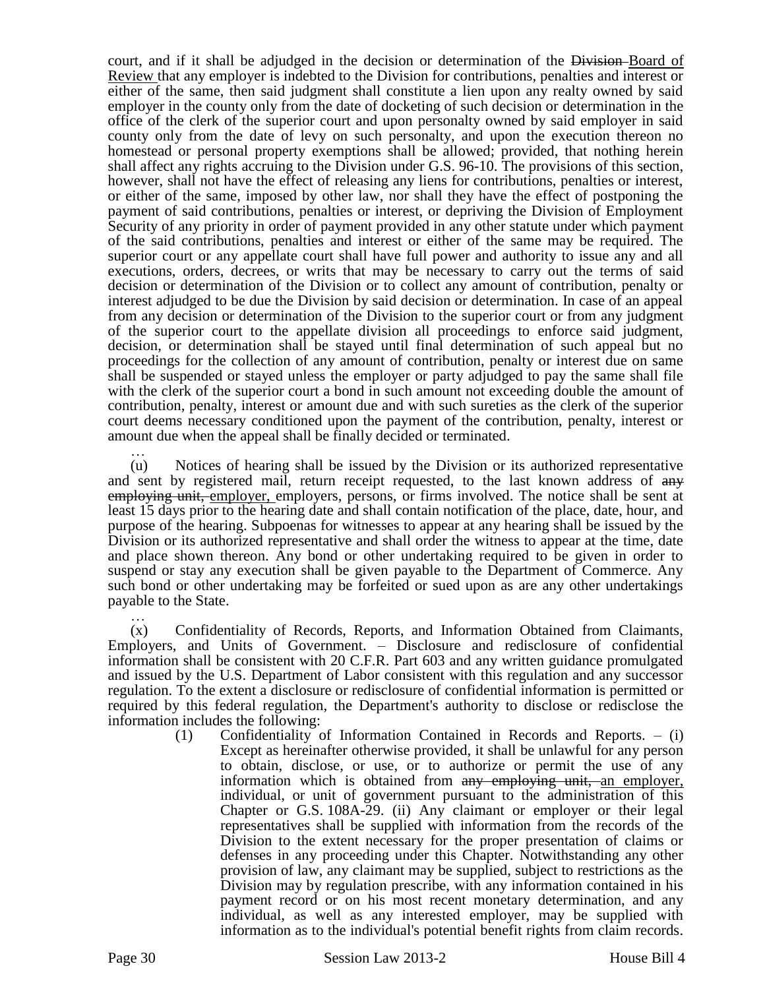court, and if it shall be adjudged in the decision or determination of the Division-Board of Review that any employer is indebted to the Division for contributions, penalties and interest or either of the same, then said judgment shall constitute a lien upon any realty owned by said employer in the county only from the date of docketing of such decision or determination in the office of the clerk of the superior court and upon personalty owned by said employer in said county only from the date of levy on such personalty, and upon the execution thereon no homestead or personal property exemptions shall be allowed; provided, that nothing herein shall affect any rights accruing to the Division under G.S. 96-10. The provisions of this section, however, shall not have the effect of releasing any liens for contributions, penalties or interest, or either of the same, imposed by other law, nor shall they have the effect of postponing the payment of said contributions, penalties or interest, or depriving the Division of Employment Security of any priority in order of payment provided in any other statute under which payment of the said contributions, penalties and interest or either of the same may be required. The superior court or any appellate court shall have full power and authority to issue any and all executions, orders, decrees, or writs that may be necessary to carry out the terms of said decision or determination of the Division or to collect any amount of contribution, penalty or interest adjudged to be due the Division by said decision or determination. In case of an appeal from any decision or determination of the Division to the superior court or from any judgment of the superior court to the appellate division all proceedings to enforce said judgment, decision, or determination shall be stayed until final determination of such appeal but no proceedings for the collection of any amount of contribution, penalty or interest due on same shall be suspended or stayed unless the employer or party adjudged to pay the same shall file with the clerk of the superior court a bond in such amount not exceeding double the amount of contribution, penalty, interest or amount due and with such sureties as the clerk of the superior court deems necessary conditioned upon the payment of the contribution, penalty, interest or amount due when the appeal shall be finally decided or terminated.

… (u) Notices of hearing shall be issued by the Division or its authorized representative and sent by registered mail, return receipt requested, to the last known address of  $\frac{a}{a}$ employing unit, employer, employers, persons, or firms involved. The notice shall be sent at least 15 days prior to the hearing date and shall contain notification of the place, date, hour, and purpose of the hearing. Subpoenas for witnesses to appear at any hearing shall be issued by the Division or its authorized representative and shall order the witness to appear at the time, date and place shown thereon. Any bond or other undertaking required to be given in order to suspend or stay any execution shall be given payable to the Department of Commerce. Any such bond or other undertaking may be forfeited or sued upon as are any other undertakings payable to the State.

… (x) Confidentiality of Records, Reports, and Information Obtained from Claimants, Employers, and Units of Government. – Disclosure and redisclosure of confidential information shall be consistent with 20 C.F.R. Part 603 and any written guidance promulgated and issued by the U.S. Department of Labor consistent with this regulation and any successor regulation. To the extent a disclosure or redisclosure of confidential information is permitted or required by this federal regulation, the Department's authority to disclose or redisclose the information includes the following:

(1) Confidentiality of Information Contained in Records and Reports. – (i) Except as hereinafter otherwise provided, it shall be unlawful for any person to obtain, disclose, or use, or to authorize or permit the use of any information which is obtained from any employing unit, an employer, individual, or unit of government pursuant to the administration of this Chapter or G.S. 108A-29. (ii) Any claimant or employer or their legal representatives shall be supplied with information from the records of the Division to the extent necessary for the proper presentation of claims or defenses in any proceeding under this Chapter. Notwithstanding any other provision of law, any claimant may be supplied, subject to restrictions as the Division may by regulation prescribe, with any information contained in his payment record or on his most recent monetary determination, and any individual, as well as any interested employer, may be supplied with information as to the individual's potential benefit rights from claim records.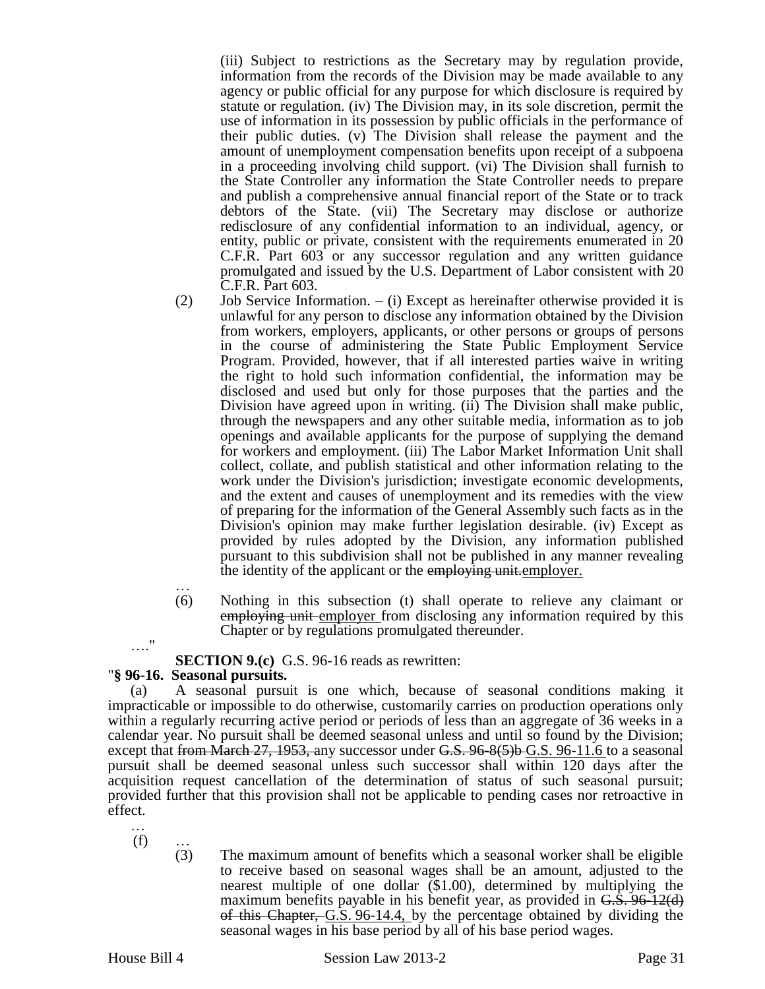(iii) Subject to restrictions as the Secretary may by regulation provide, information from the records of the Division may be made available to any agency or public official for any purpose for which disclosure is required by statute or regulation. (iv) The Division may, in its sole discretion, permit the use of information in its possession by public officials in the performance of their public duties. (v) The Division shall release the payment and the amount of unemployment compensation benefits upon receipt of a subpoena in a proceeding involving child support. (vi) The Division shall furnish to the State Controller any information the State Controller needs to prepare and publish a comprehensive annual financial report of the State or to track debtors of the State. (vii) The Secretary may disclose or authorize redisclosure of any confidential information to an individual, agency, or entity, public or private, consistent with the requirements enumerated in 20 C.F.R. Part 603 or any successor regulation and any written guidance promulgated and issued by the U.S. Department of Labor consistent with 20 C.F.R. Part 603.

- (2) Job Service Information.  $-$  (i) Except as hereinafter otherwise provided it is unlawful for any person to disclose any information obtained by the Division from workers, employers, applicants, or other persons or groups of persons in the course of administering the State Public Employment Service Program. Provided, however, that if all interested parties waive in writing the right to hold such information confidential, the information may be disclosed and used but only for those purposes that the parties and the Division have agreed upon in writing. (ii) The Division shall make public, through the newspapers and any other suitable media, information as to job openings and available applicants for the purpose of supplying the demand for workers and employment. (iii) The Labor Market Information Unit shall collect, collate, and publish statistical and other information relating to the work under the Division's jurisdiction; investigate economic developments, and the extent and causes of unemployment and its remedies with the view of preparing for the information of the General Assembly such facts as in the Division's opinion may make further legislation desirable. (iv) Except as provided by rules adopted by the Division, any information published pursuant to this subdivision shall not be published in any manner revealing the identity of the applicant or the employing unit.employer.
- … (6) Nothing in this subsection (t) shall operate to relieve any claimant or employing unit employer from disclosing any information required by this Chapter or by regulations promulgated thereunder.

**SECTION 9.(c)** G.S. 96-16 reads as rewritten:

## "**§ 96-16. Seasonal pursuits.**

(a) A seasonal pursuit is one which, because of seasonal conditions making it impracticable or impossible to do otherwise, customarily carries on production operations only within a regularly recurring active period or periods of less than an aggregate of 36 weeks in a calendar year. No pursuit shall be deemed seasonal unless and until so found by the Division; except that from March 27, 1953, any successor under  $G.S.$  96-8(5)b G.S. 96-11.6 to a seasonal pursuit shall be deemed seasonal unless such successor shall within 120 days after the acquisition request cancellation of the determination of status of such seasonal pursuit; provided further that this provision shall not be applicable to pending cases nor retroactive in effect.

…  $(f)$ 

…."

(3) The maximum amount of benefits which a seasonal worker shall be eligible to receive based on seasonal wages shall be an amount, adjusted to the nearest multiple of one dollar (\$1.00), determined by multiplying the maximum benefits payable in his benefit year, as provided in G.S. 96-12(d) of this Chapter, G.S. 96-14.4, by the percentage obtained by dividing the seasonal wages in his base period by all of his base period wages.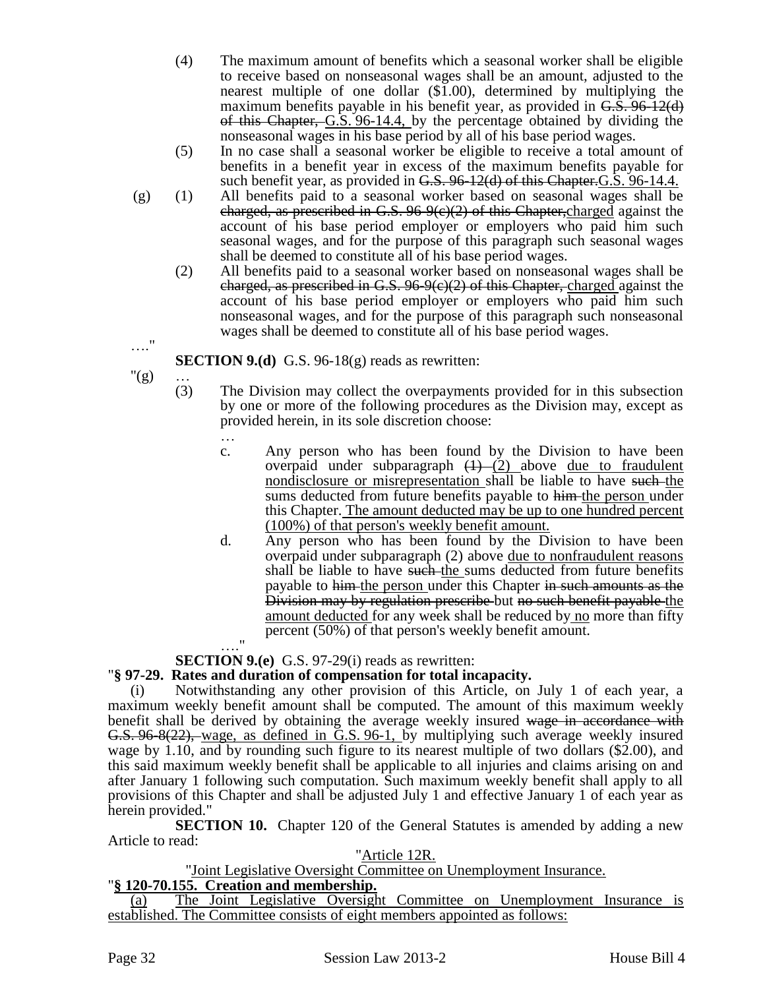- (4) The maximum amount of benefits which a seasonal worker shall be eligible to receive based on nonseasonal wages shall be an amount, adjusted to the nearest multiple of one dollar  $(\overline{$}1.00)$ , determined by multiplying the maximum benefits payable in his benefit year, as provided in G.S. 96-12(d) of this Chapter, G.S. 96-14.4, by the percentage obtained by dividing the nonseasonal wages in his base period by all of his base period wages.
- (5) In no case shall a seasonal worker be eligible to receive a total amount of benefits in a benefit year in excess of the maximum benefits payable for such benefit year, as provided in  $G.S. 96-12(d)$  of this Chapter. G.S. 96-14.4.
- (g) (1) All benefits paid to a seasonal worker based on seasonal wages shall be charged, as prescribed in G.S.  $96-9(c)(2)$  of this Chapter, charged against the account of his base period employer or employers who paid him such seasonal wages, and for the purpose of this paragraph such seasonal wages shall be deemed to constitute all of his base period wages.
	- (2) All benefits paid to a seasonal worker based on nonseasonal wages shall be charged, as prescribed in G.S.  $96-9(e)(2)$  of this Chapter, charged against the account of his base period employer or employers who paid him such nonseasonal wages, and for the purpose of this paragraph such nonseasonal wages shall be deemed to constitute all of his base period wages.

**SECTION 9.(d)** G.S. 96-18(g) reads as rewritten:

 $"({\bf g})$  ... (3)

…."

- The Division may collect the overpayments provided for in this subsection by one or more of the following procedures as the Division may, except as provided herein, in its sole discretion choose:
	- …
	- c. Any person who has been found by the Division to have been overpaid under subparagraph  $(1)$  (2) above due to fraudulent nondisclosure or misrepresentation shall be liable to have such the sums deducted from future benefits payable to him the person under this Chapter. The amount deducted may be up to one hundred percent (100%) of that person's weekly benefit amount.
	- d. Any person who has been found by the Division to have been overpaid under subparagraph (2) above due to nonfraudulent reasons shall be liable to have such the sums deducted from future benefits payable to him the person under this Chapter in such amounts as the Division may by regulation prescribe but no such benefit payable the amount deducted for any week shall be reduced by no more than fifty percent (50%) of that person's weekly benefit amount.  $^{\prime\prime}$

# **SECTION 9.(e)** G.S. 97-29(i) reads as rewritten:

# "**§ 97-29. Rates and duration of compensation for total incapacity.**

(i) Notwithstanding any other provision of this Article, on July 1 of each year, a maximum weekly benefit amount shall be computed. The amount of this maximum weekly benefit shall be derived by obtaining the average weekly insured wage in accordance with G.S. 96-8(22), wage, as defined in G.S. 96-1, by multiplying such average weekly insured wage by 1.10, and by rounding such figure to its nearest multiple of two dollars (\$2.00), and this said maximum weekly benefit shall be applicable to all injuries and claims arising on and after January 1 following such computation. Such maximum weekly benefit shall apply to all provisions of this Chapter and shall be adjusted July 1 and effective January 1 of each year as herein provided."

**SECTION 10.** Chapter 120 of the General Statutes is amended by adding a new Article to read:

## "Article 12R.

## "Joint Legislative Oversight Committee on Unemployment Insurance.

# "**§ 120-70.155. Creation and membership.**

(a) The Joint Legislative Oversight Committee on Unemployment Insurance is established. The Committee consists of eight members appointed as follows: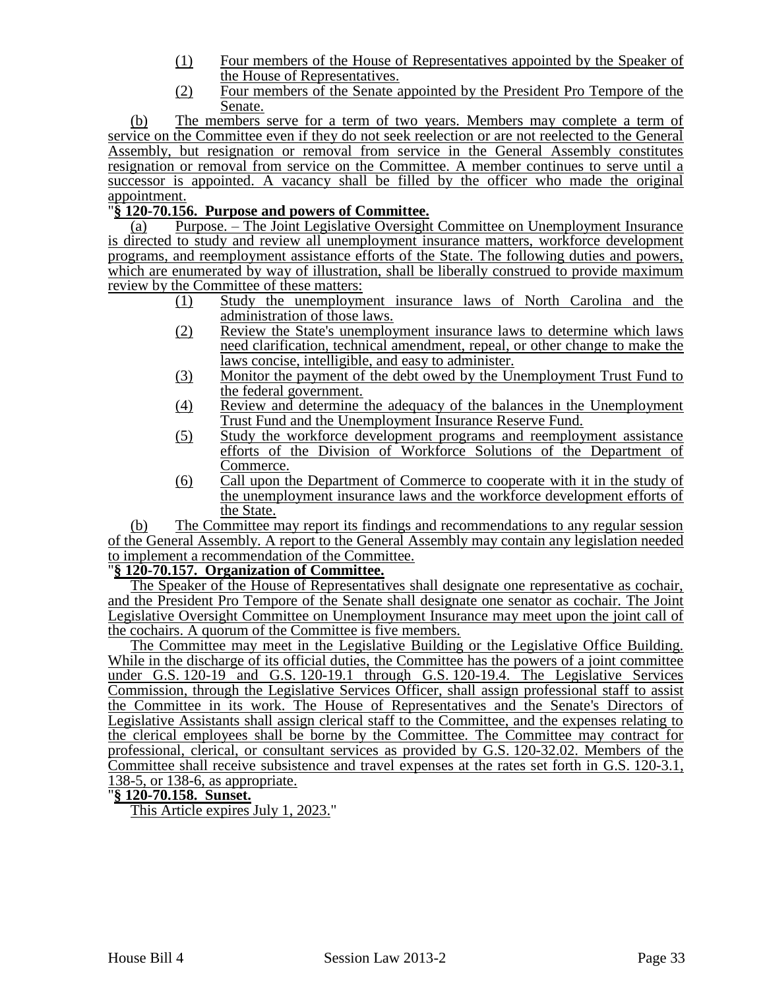- (1) Four members of the House of Representatives appointed by the Speaker of the House of Representatives.
- (2) Four members of the Senate appointed by the President Pro Tempore of the Senate.

(b) The members serve for a term of two years. Members may complete a term of service on the Committee even if they do not seek reelection or are not reelected to the General Assembly, but resignation or removal from service in the General Assembly constitutes resignation or removal from service on the Committee. A member continues to serve until a successor is appointed. A vacancy shall be filled by the officer who made the original appointment.

# "**§ 120-70.156. Purpose and powers of Committee.**

(a) Purpose. – The Joint Legislative Oversight Committee on Unemployment Insurance is directed to study and review all unemployment insurance matters, workforce development programs, and reemployment assistance efforts of the State. The following duties and powers, which are enumerated by way of illustration, shall be liberally construed to provide maximum review by the Committee of these matters:

- (1) Study the unemployment insurance laws of North Carolina and the administration of those laws.
- (2) Review the State's unemployment insurance laws to determine which laws need clarification, technical amendment, repeal, or other change to make the laws concise, intelligible, and easy to administer.
- (3) Monitor the payment of the debt owed by the Unemployment Trust Fund to the federal government.
- (4) Review and determine the adequacy of the balances in the Unemployment Trust Fund and the Unemployment Insurance Reserve Fund.
- (5) Study the workforce development programs and reemployment assistance efforts of the Division of Workforce Solutions of the Department of Commerce.
- (6) Call upon the Department of Commerce to cooperate with it in the study of the unemployment insurance laws and the workforce development efforts of the State.

(b) The Committee may report its findings and recommendations to any regular session of the General Assembly. A report to the General Assembly may contain any legislation needed to implement a recommendation of the Committee.

## "**§ 120-70.157. Organization of Committee.**

The Speaker of the House of Representatives shall designate one representative as cochair, and the President Pro Tempore of the Senate shall designate one senator as cochair. The Joint Legislative Oversight Committee on Unemployment Insurance may meet upon the joint call of the cochairs. A quorum of the Committee is five members.

The Committee may meet in the Legislative Building or the Legislative Office Building. While in the discharge of its official duties, the Committee has the powers of a joint committee under G.S. 120-19 and G.S. 120-19.1 through G.S. 120-19.4. The Legislative Services Commission, through the Legislative Services Officer, shall assign professional staff to assist the Committee in its work. The House of Representatives and the Senate's Directors of Legislative Assistants shall assign clerical staff to the Committee, and the expenses relating to the clerical employees shall be borne by the Committee. The Committee may contract for professional, clerical, or consultant services as provided by G.S. 120-32.02. Members of the Committee shall receive subsistence and travel expenses at the rates set forth in G.S. 120-3.1, 138-5, or 138-6, as appropriate.

## "**§ 120-70.158. Sunset.**

This Article expires July 1, 2023."